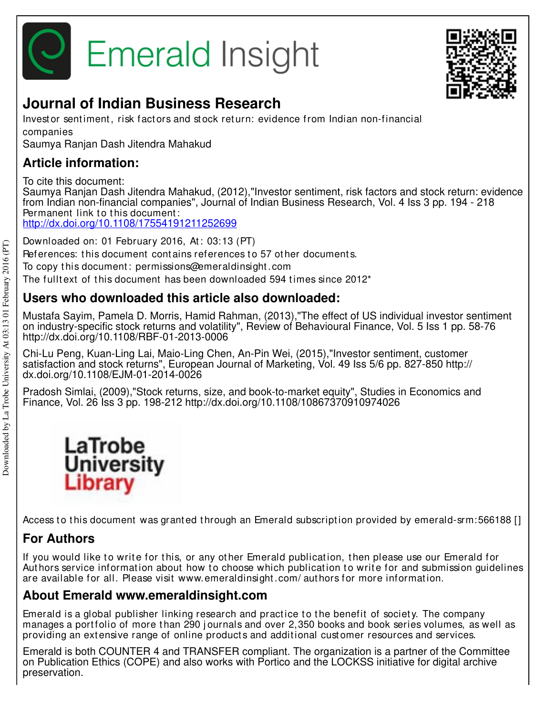



## **Journal of Indian Business Research**

Investor sentiment, risk factors and stock return; evidence from Indian non-financial companies

Saumya Ranjan Dash Jitendra Mahakud

### **Article information:**

To cite this document:

Saumya Ranjan Dash Jitendra Mahakud, (2012),"Investor sentiment, risk factors and stock return: evidence from Indian non-financial companies", Journal of Indian Business Research, Vol. 4 Iss 3 pp. 194 - 218 Permanent link to this document: http://dx.doi.org/10.1108/17554191211252699

Downloaded on: 01 February 2016, At : 03:13 (PT)

References: this document contains references to 57 other documents.

To copy t his document : permissions@emeraldinsight .com

The fulltext of this document has been downloaded 594 times since  $2012<sup>*</sup>$ 

### **Users who downloaded this article also downloaded:**

Mustafa Sayim, Pamela D. Morris, Hamid Rahman, (2013),"The effect of US individual investor sentiment on industry-specific stock returns and volatility", Review of Behavioural Finance, Vol. 5 Iss 1 pp. 58-76 http://dx.doi.org/10.1108/RBF-01-2013-0006

Chi-Lu Peng, Kuan-Ling Lai, Maio-Ling Chen, An-Pin Wei, (2015),"Investor sentiment, customer satisfaction and stock returns", European Journal of Marketing, Vol. 49 Iss 5/6 pp. 827-850 http:// dx.doi.org/10.1108/EJM-01-2014-0026

Pradosh Simlai, (2009),"Stock returns, size, and book-to-market equity", Studies in Economics and Finance, Vol. 26 Iss 3 pp. 198-212 http://dx.doi.org/10.1108/10867370910974026

# LaTrobe **University** Library

Access to this document was granted through an Emerald subscription provided by emerald-srm:566188 []

## **For Authors**

If you would like to write for this, or any other Emerald publication, then please use our Emerald for Authors service information about how to choose which publication to write for and submission quidelines are available for all. Please visit www.emeraldinsight .com/ aut hors for more informat ion.

### **About Emerald www.emeraldinsight.com**

Emerald is a global publisher linking research and practice to the benefit of society. The company manages a portfolio of more than 290 journals and over 2,350 books and book series volumes, as well as providing an extensive range of online products and additional customer resources and services.

Emerald is both COUNTER 4 and TRANSFER compliant. The organization is a partner of the Committee on Publication Ethics (COPE) and also works with Portico and the LOCKSS initiative for digital archive preservation.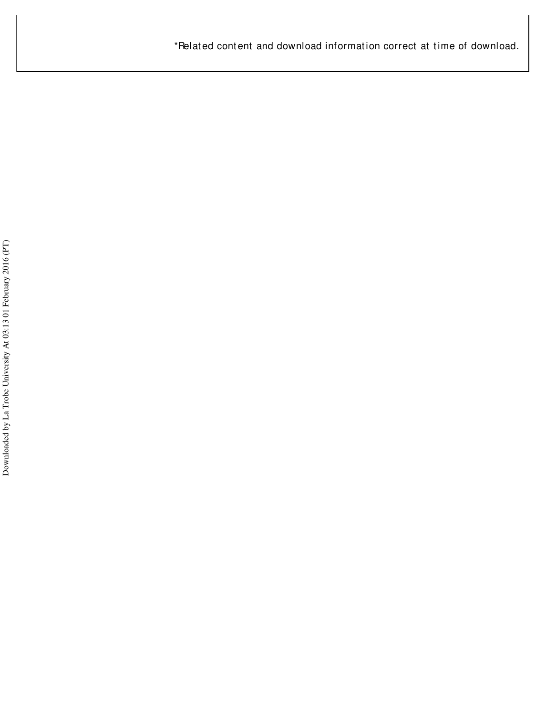\*Related content and download information correct at time of download.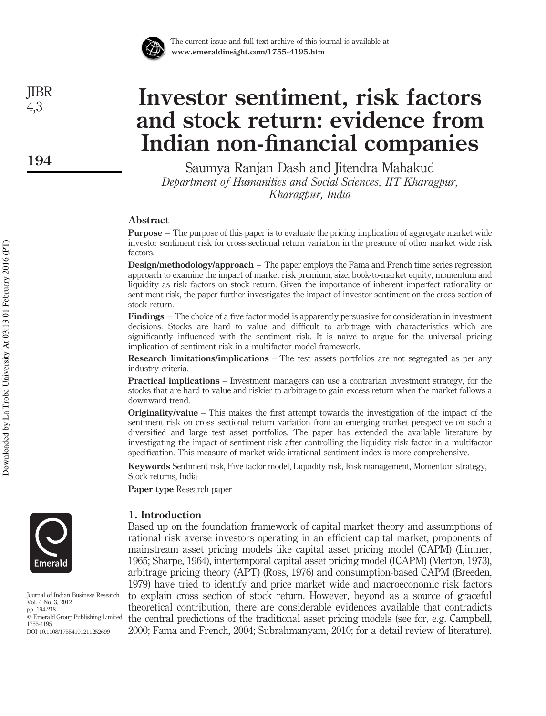

The current issue and full text archive of this journal is available at www.emeraldinsight.com/1755-4195.htm

# Investor sentiment, risk factors and stock return: evidence from Indian non-financial companies

Saumya Ranjan Dash and Jitendra Mahakud *Department of Humanities and Social Sciences, IIT Kharagpur, Kharagpur, India*

### Abstract

Purpose – The purpose of this paper is to evaluate the pricing implication of aggregate market wide investor sentiment risk for cross sectional return variation in the presence of other market wide risk factors.

Design/methodology/approach – The paper employs the Fama and French time series regression approach to examine the impact of market risk premium, size, book-to-market equity, momentum and liquidity as risk factors on stock return. Given the importance of inherent imperfect rationality or sentiment risk, the paper further investigates the impact of investor sentiment on the cross section of stock return.

Findings – The choice of a five factor model is apparently persuasive for consideration in investment decisions. Stocks are hard to value and difficult to arbitrage with characteristics which are significantly influenced with the sentiment risk. It is naïve to argue for the universal pricing implication of sentiment risk in a multifactor model framework.

Research limitations/implications – The test assets portfolios are not segregated as per any industry criteria.

Practical implications – Investment managers can use a contrarian investment strategy, for the stocks that are hard to value and riskier to arbitrage to gain excess return when the market follows a downward trend.

Originality/value – This makes the first attempt towards the investigation of the impact of the sentiment risk on cross sectional return variation from an emerging market perspective on such a diversified and large test asset portfolios. The paper has extended the available literature by investigating the impact of sentiment risk after controlling the liquidity risk factor in a multifactor specification. This measure of market wide irrational sentiment index is more comprehensive.

Keywords Sentiment risk, Five factor model, Liquidity risk, Risk management, Momentum strategy, Stock returns, India

Paper type Research paper

#### 1. Introduction

Based up on the foundation framework of capital market theory and assumptions of rational risk averse investors operating in an efficient capital market, proponents of mainstream asset pricing models like capital asset pricing model (CAPM) (Lintner, 1965; Sharpe, 1964), intertemporal capital asset pricing model (ICAPM) (Merton, 1973), arbitrage pricing theory (APT) (Ross, 1976) and consumption-based CAPM (Breeden, 1979) have tried to identify and price market wide and macroeconomic risk factors to explain cross section of stock return. However, beyond as a source of graceful theoretical contribution, there are considerable evidences available that contradicts the central predictions of the traditional asset pricing models (see for, e.g. Campbell, 2000; Fama and French, 2004; Subrahmanyam, 2010; for a detail review of literature).



Journal of Indian Business Research Vol. 4 No. 3, 2012 pp. 194-218  $©$  Emerald Group Publishing Limited 1755-4195 DOI 10.1108/17554191211252699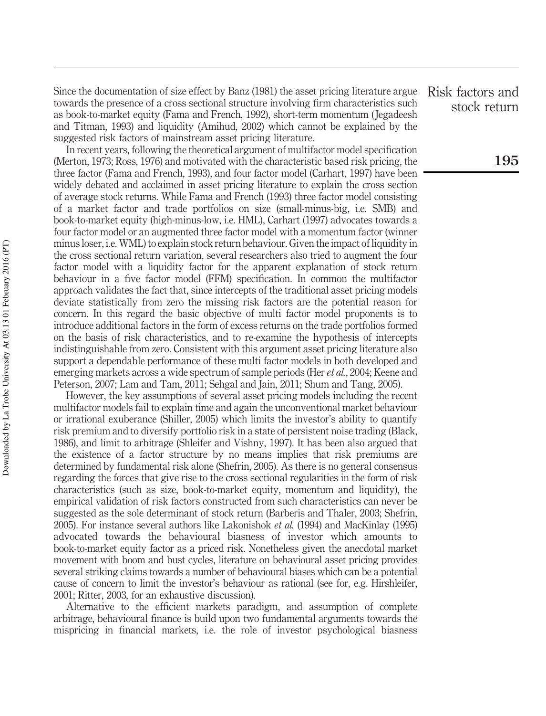Since the documentation of size effect by Banz (1981) the asset pricing literature argue towards the presence of a cross sectional structure involving firm characteristics such as book-to-market equity (Fama and French, 1992), short-term momentum ( Jegadeesh and Titman, 1993) and liquidity (Amihud, 2002) which cannot be explained by the suggested risk factors of mainstream asset pricing literature.

In recent years, following the theoretical argument of multifactor model specification (Merton, 1973; Ross, 1976) and motivated with the characteristic based risk pricing, the three factor (Fama and French, 1993), and four factor model (Carhart, 1997) have been widely debated and acclaimed in asset pricing literature to explain the cross section of average stock returns. While Fama and French (1993) three factor model consisting of a market factor and trade portfolios on size (small-minus-big, i.e. SMB) and book-to-market equity (high-minus-low, i.e. HML), Carhart (1997) advocates towards a four factor model or an augmented three factor model with a momentum factor (winner minus loser, i.e. WML) to explain stock return behaviour. Given the impact of liquidity in the cross sectional return variation, several researchers also tried to augment the four factor model with a liquidity factor for the apparent explanation of stock return behaviour in a five factor model (FFM) specification. In common the multifactor approach validates the fact that, since intercepts of the traditional asset pricing models deviate statistically from zero the missing risk factors are the potential reason for concern. In this regard the basic objective of multi factor model proponents is to introduce additional factors in the form of excess returns on the trade portfolios formed on the basis of risk characteristics, and to re-examine the hypothesis of intercepts indistinguishable from zero. Consistent with this argument asset pricing literature also support a dependable performance of these multi factor models in both developed and emerging markets across a wide spectrum of sample periods (Her *et al.*, 2004; Keene and Peterson, 2007; Lam and Tam, 2011; Sehgal and Jain, 2011; Shum and Tang, 2005).

However, the key assumptions of several asset pricing models including the recent multifactor models fail to explain time and again the unconventional market behaviour or irrational exuberance (Shiller, 2005) which limits the investor's ability to quantify risk premium and to diversify portfolio risk in a state of persistent noise trading (Black, 1986), and limit to arbitrage (Shleifer and Vishny, 1997). It has been also argued that the existence of a factor structure by no means implies that risk premiums are determined by fundamental risk alone (Shefrin, 2005). As there is no general consensus regarding the forces that give rise to the cross sectional regularities in the form of risk characteristics (such as size, book-to-market equity, momentum and liquidity), the empirical validation of risk factors constructed from such characteristics can never be suggested as the sole determinant of stock return (Barberis and Thaler, 2003; Shefrin, 2005). For instance several authors like Lakonishok *et al.* (1994) and MacKinlay (1995) advocated towards the behavioural biasness of investor which amounts to book-to-market equity factor as a priced risk. Nonetheless given the anecdotal market movement with boom and bust cycles, literature on behavioural asset pricing provides several striking claims towards a number of behavioural biases which can be a potential cause of concern to limit the investor's behaviour as rational (see for, e.g. Hirshleifer, 2001; Ritter, 2003, for an exhaustive discussion).

Alternative to the efficient markets paradigm, and assumption of complete arbitrage, behavioural finance is build upon two fundamental arguments towards the mispricing in financial markets, i.e. the role of investor psychological biasness

Risk factors and stock return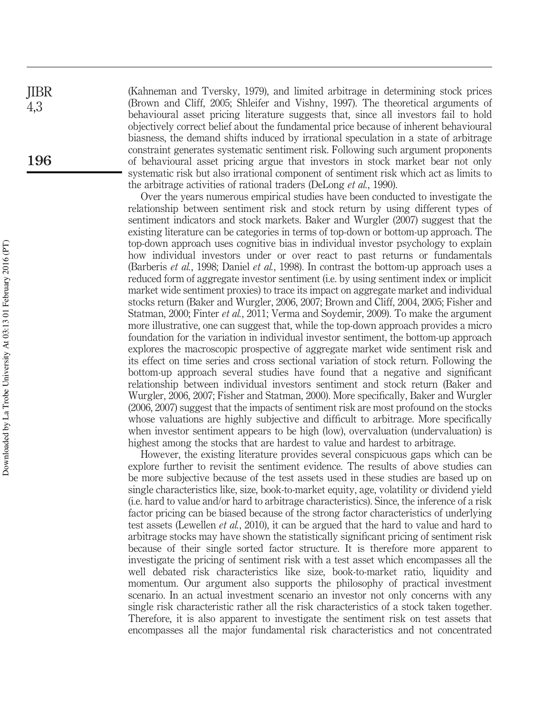(Kahneman and Tversky, 1979), and limited arbitrage in determining stock prices (Brown and Cliff, 2005; Shleifer and Vishny, 1997). The theoretical arguments of behavioural asset pricing literature suggests that, since all investors fail to hold objectively correct belief about the fundamental price because of inherent behavioural biasness, the demand shifts induced by irrational speculation in a state of arbitrage constraint generates systematic sentiment risk. Following such argument proponents of behavioural asset pricing argue that investors in stock market bear not only systematic risk but also irrational component of sentiment risk which act as limits to the arbitrage activities of rational traders (DeLong *et al.*, 1990).

Over the years numerous empirical studies have been conducted to investigate the relationship between sentiment risk and stock return by using different types of sentiment indicators and stock markets. Baker and Wurgler (2007) suggest that the existing literature can be categories in terms of top-down or bottom-up approach. The top-down approach uses cognitive bias in individual investor psychology to explain how individual investors under or over react to past returns or fundamentals (Barberis *et al.*, 1998; Daniel *et al.*, 1998). In contrast the bottom-up approach uses a reduced form of aggregate investor sentiment (i.e. by using sentiment index or implicit market wide sentiment proxies) to trace its impact on aggregate market and individual stocks return (Baker and Wurgler, 2006, 2007; Brown and Cliff, 2004, 2005; Fisher and Statman, 2000; Finter *et al.*, 2011; Verma and Soydemir, 2009). To make the argument more illustrative, one can suggest that, while the top-down approach provides a micro foundation for the variation in individual investor sentiment, the bottom-up approach explores the macroscopic prospective of aggregate market wide sentiment risk and its effect on time series and cross sectional variation of stock return. Following the bottom-up approach several studies have found that a negative and significant relationship between individual investors sentiment and stock return (Baker and Wurgler, 2006, 2007; Fisher and Statman, 2000). More specifically, Baker and Wurgler (2006, 2007) suggest that the impacts of sentiment risk are most profound on the stocks whose valuations are highly subjective and difficult to arbitrage. More specifically when investor sentiment appears to be high (low), overvaluation (undervaluation) is highest among the stocks that are hardest to value and hardest to arbitrage.

However, the existing literature provides several conspicuous gaps which can be explore further to revisit the sentiment evidence. The results of above studies can be more subjective because of the test assets used in these studies are based up on single characteristics like, size, book-to-market equity, age, volatility or dividend yield (i.e. hard to value and/or hard to arbitrage characteristics). Since, the inference of a risk factor pricing can be biased because of the strong factor characteristics of underlying test assets (Lewellen *et al.*, 2010), it can be argued that the hard to value and hard to arbitrage stocks may have shown the statistically significant pricing of sentiment risk because of their single sorted factor structure. It is therefore more apparent to investigate the pricing of sentiment risk with a test asset which encompasses all the well debated risk characteristics like size, book-to-market ratio, liquidity and momentum. Our argument also supports the philosophy of practical investment scenario. In an actual investment scenario an investor not only concerns with any single risk characteristic rather all the risk characteristics of a stock taken together. Therefore, it is also apparent to investigate the sentiment risk on test assets that encompasses all the major fundamental risk characteristics and not concentrated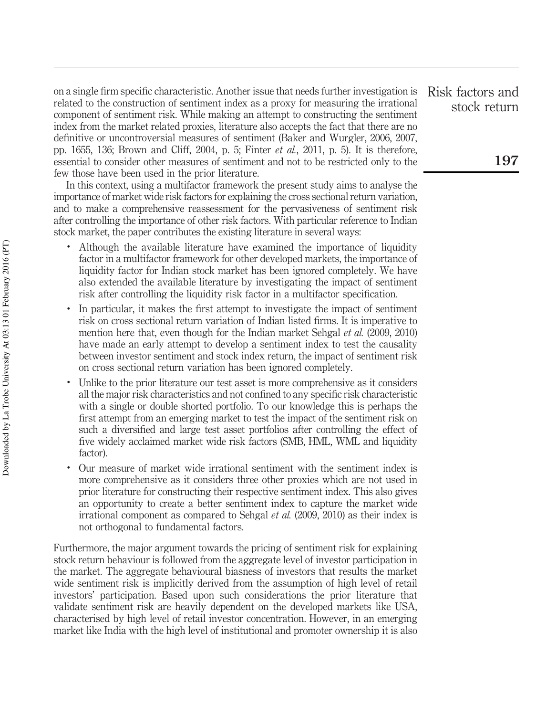on a single firm specific characteristic. Another issue that needs further investigation is related to the construction of sentiment index as a proxy for measuring the irrational component of sentiment risk. While making an attempt to constructing the sentiment index from the market related proxies, literature also accepts the fact that there are no definitive or uncontroversial measures of sentiment (Baker and Wurgler, 2006, 2007, pp. 1655, 136; Brown and Cliff, 2004, p. 5; Finter *et al.*, 2011, p. 5). It is therefore, essential to consider other measures of sentiment and not to be restricted only to the few those have been used in the prior literature.

In this context, using a multifactor framework the present study aims to analyse the importance of market wide risk factors for explaining the cross sectional return variation, and to make a comprehensive reassessment for the pervasiveness of sentiment risk after controlling the importance of other risk factors. With particular reference to Indian stock market, the paper contributes the existing literature in several ways:

- . Although the available literature have examined the importance of liquidity factor in a multifactor framework for other developed markets, the importance of liquidity factor for Indian stock market has been ignored completely. We have also extended the available literature by investigating the impact of sentiment risk after controlling the liquidity risk factor in a multifactor specification.
- . In particular, it makes the first attempt to investigate the impact of sentiment risk on cross sectional return variation of Indian listed firms. It is imperative to mention here that, even though for the Indian market Sehgal *et al.* (2009, 2010) have made an early attempt to develop a sentiment index to test the causality between investor sentiment and stock index return, the impact of sentiment risk on cross sectional return variation has been ignored completely.
- . Unlike to the prior literature our test asset is more comprehensive as it considers all the major risk characteristics and not confined to any specific risk characteristic with a single or double shorted portfolio. To our knowledge this is perhaps the first attempt from an emerging market to test the impact of the sentiment risk on such a diversified and large test asset portfolios after controlling the effect of five widely acclaimed market wide risk factors (SMB, HML, WML and liquidity factor).
- . Our measure of market wide irrational sentiment with the sentiment index is more comprehensive as it considers three other proxies which are not used in prior literature for constructing their respective sentiment index. This also gives an opportunity to create a better sentiment index to capture the market wide irrational component as compared to Sehgal *et al.* (2009, 2010) as their index is not orthogonal to fundamental factors.

Furthermore, the major argument towards the pricing of sentiment risk for explaining stock return behaviour is followed from the aggregate level of investor participation in the market. The aggregate behavioural biasness of investors that results the market wide sentiment risk is implicitly derived from the assumption of high level of retail investors' participation. Based upon such considerations the prior literature that validate sentiment risk are heavily dependent on the developed markets like USA, characterised by high level of retail investor concentration. However, in an emerging market like India with the high level of institutional and promoter ownership it is also Risk factors and stock return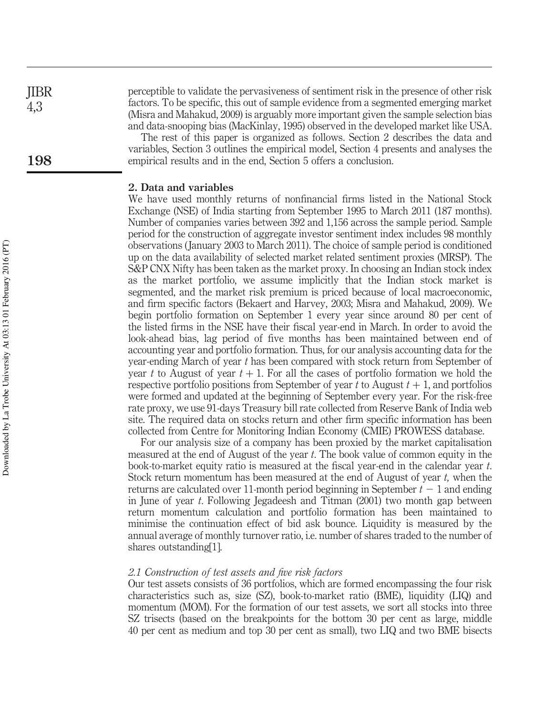JIBR 4,3

198

perceptible to validate the pervasiveness of sentiment risk in the presence of other risk factors. To be specific, this out of sample evidence from a segmented emerging market (Misra and Mahakud, 2009) is arguably more important given the sample selection bias and data-snooping bias (MacKinlay, 1995) observed in the developed market like USA.

The rest of this paper is organized as follows. Section 2 describes the data and variables, Section 3 outlines the empirical model, Section 4 presents and analyses the empirical results and in the end, Section 5 offers a conclusion.

#### 2. Data and variables

We have used monthly returns of nonfinancial firms listed in the National Stock Exchange (NSE) of India starting from September 1995 to March 2011 (187 months). Number of companies varies between 392 and 1,156 across the sample period. Sample period for the construction of aggregate investor sentiment index includes 98 monthly observations ( January 2003 to March 2011). The choice of sample period is conditioned up on the data availability of selected market related sentiment proxies (MRSP). The S&P CNX Nifty has been taken as the market proxy. In choosing an Indian stock index as the market portfolio, we assume implicitly that the Indian stock market is segmented, and the market risk premium is priced because of local macroeconomic, and firm specific factors (Bekaert and Harvey, 2003; Misra and Mahakud, 2009). We begin portfolio formation on September 1 every year since around 80 per cent of the listed firms in the NSE have their fiscal year-end in March. In order to avoid the look-ahead bias, lag period of five months has been maintained between end of accounting year and portfolio formation. Thus, for our analysis accounting data for the year-ending March of year *t* has been compared with stock return from September of year *t* to August of year  $t + 1$ . For all the cases of portfolio formation we hold the respective portfolio positions from September of year  $t$  to August  $t + 1$ , and portfolios were formed and updated at the beginning of September every year. For the risk-free rate proxy, we use 91-days Treasury bill rate collected from Reserve Bank of India web site. The required data on stocks return and other firm specific information has been collected from Centre for Monitoring Indian Economy (CMIE) PROWESS database.

For our analysis size of a company has been proxied by the market capitalisation measured at the end of August of the year *t*. The book value of common equity in the book-to-market equity ratio is measured at the fiscal year-end in the calendar year *t*. Stock return momentum has been measured at the end of August of year *t,* when the returns are calculated over 11-month period beginning in September  $t-1$  and ending in June of year *t*. Following Jegadeesh and Titman (2001) two month gap between return momentum calculation and portfolio formation has been maintained to minimise the continuation effect of bid ask bounce. Liquidity is measured by the annual average of monthly turnover ratio, i.e. number of shares traded to the number of shares outstanding[1].

#### *2.1 Construction of test assets and five risk factors*

Our test assets consists of 36 portfolios, which are formed encompassing the four risk characteristics such as, size (SZ), book-to-market ratio (BME), liquidity (LIQ) and momentum (MOM). For the formation of our test assets, we sort all stocks into three SZ trisects (based on the breakpoints for the bottom 30 per cent as large, middle 40 per cent as medium and top 30 per cent as small), two LIQ and two BME bisects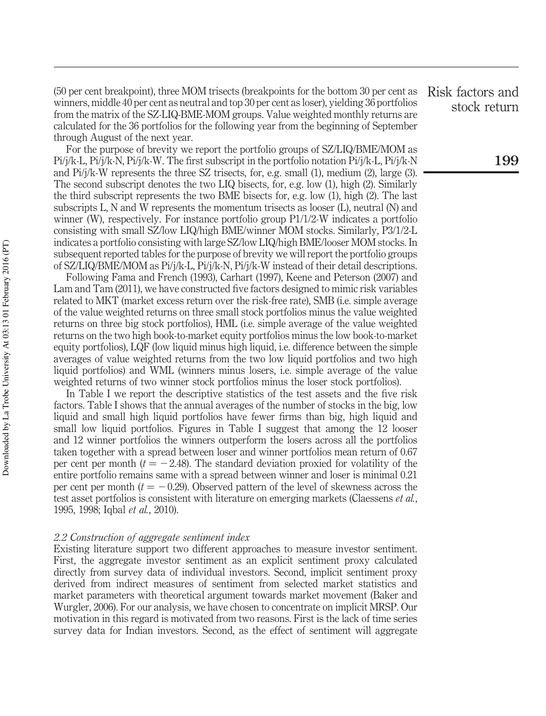(50 per cent breakpoint), three MOM trisects (breakpoints for the bottom 30 per cent as winners, middle 40 per cent as neutral and top 30 per cent as loser), yielding 36 portfolios from the matrix of the SZ-LIQ-BME-MOM groups. Value weighted monthly returns are calculated for the 36 portfolios for the following year from the beginning of September through August of the next year.

For the purpose of brevity we report the portfolio groups of SZ/LIQ/BME/MOM as Pi/j/k-L, Pi/j/k-N, Pi/j/k-W. The first subscript in the portfolio notation Pi/j/k-L, Pi/j/k-N and Pi/j/k-W represents the three SZ trisects, for, e.g. small (1), medium (2), large (3). The second subscript denotes the two LIQ bisects, for, e.g. low (1), high (2). Similarly the third subscript represents the two BME bisects for, e.g. low (1), high (2). The last subscripts L, N and W represents the momentum trisects as looser (L), neutral (N) and winner (W), respectively. For instance portfolio group P1/1/2-W indicates a portfolio consisting with small SZ/low LIQ/high BME/winner MOM stocks. Similarly, P3/1/2-L indicates a portfolio consisting with large SZ/low LIQ/high BME/looser MOM stocks. In subsequent reported tables for the purpose of brevity we will report the portfolio groups of SZ/LIQ/BME/MOM as Pi/j/k-L, Pi/j/k-N, Pi/j/k-W instead of their detail descriptions.

Following Fama and French (1993), Carhart (1997), Keene and Peterson (2007) and Lam and Tam (2011), we have constructed five factors designed to mimic risk variables related to MKT (market excess return over the risk-free rate), SMB (i.e. simple average of the value weighted returns on three small stock portfolios minus the value weighted returns on three big stock portfolios), HML (i.e. simple average of the value weighted returns on the two high book-to-market equity portfolios minus the low book-to-market equity portfolios), LQF (low liquid minus high liquid, i.e. difference between the simple averages of value weighted returns from the two low liquid portfolios and two high liquid portfolios) and WML (winners minus losers, i.e. simple average of the value weighted returns of two winner stock portfolios minus the loser stock portfolios).

In Table I we report the descriptive statistics of the test assets and the five risk factors. Table I shows that the annual averages of the number of stocks in the big, low liquid and small high liquid portfolios have fewer firms than big, high liquid and small low liquid portfolios. Figures in Table I suggest that among the 12 looser and 12 winner portfolios the winners outperform the losers across all the portfolios taken together with a spread between loser and winner portfolios mean return of 0.67 per cent per month  $(t = -2.48)$ . The standard deviation proxied for volatility of the entire portfolio remains same with a spread between winner and loser is minimal 0.21 per cent per month  $(t = -0.29)$ . Observed pattern of the level of skewness across the test asset portfolios is consistent with literature on emerging markets (Claessens *et al.*, 1995, 1998; Iqbal *et al.*, 2010).

#### *2.2 Construction of aggregate sentiment index*

Existing literature support two different approaches to measure investor sentiment. First, the aggregate investor sentiment as an explicit sentiment proxy calculated directly from survey data of individual investors. Second, implicit sentiment proxy derived from indirect measures of sentiment from selected market statistics and market parameters with theoretical argument towards market movement (Baker and Wurgler, 2006). For our analysis, we have chosen to concentrate on implicit MRSP. Our motivation in this regard is motivated from two reasons. First is the lack of time series survey data for Indian investors. Second, as the effect of sentiment will aggregate Risk factors and stock return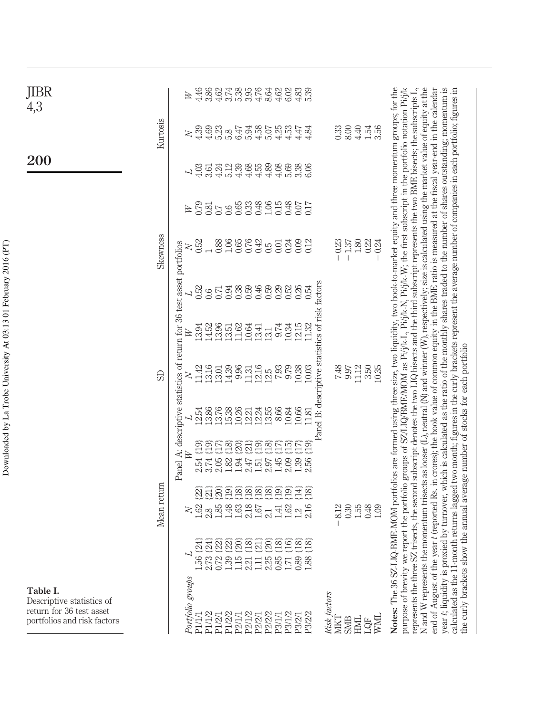| JIBR<br>4,3                                                                                      |             | $\overline{M}$                                                                   |                         |                                               |                                                         |                                                    |                                                     |                          |                                                                               |                           |                         | se se st se se se se se se<br>se se se se se se se se se |                           |                                                 |                     |               |                            |                   |                                                                                                                                                                                                                                                                                                                                                                                                                                                                                                                                                                                                                                                                                    |
|--------------------------------------------------------------------------------------------------|-------------|----------------------------------------------------------------------------------|-------------------------|-----------------------------------------------|---------------------------------------------------------|----------------------------------------------------|-----------------------------------------------------|--------------------------|-------------------------------------------------------------------------------|---------------------------|-------------------------|----------------------------------------------------------|---------------------------|-------------------------------------------------|---------------------|---------------|----------------------------|-------------------|------------------------------------------------------------------------------------------------------------------------------------------------------------------------------------------------------------------------------------------------------------------------------------------------------------------------------------------------------------------------------------------------------------------------------------------------------------------------------------------------------------------------------------------------------------------------------------------------------------------------------------------------------------------------------------|
|                                                                                                  |             |                                                                                  |                         |                                               |                                                         |                                                    |                                                     |                          |                                                                               |                           |                         |                                                          |                           |                                                 |                     |               |                            |                   |                                                                                                                                                                                                                                                                                                                                                                                                                                                                                                                                                                                                                                                                                    |
|                                                                                                  | Kurtosis    |                                                                                  |                         |                                               |                                                         |                                                    |                                                     |                          |                                                                               |                           |                         | e<br>Secreta Secreta Secreta<br>Secreta Secreta Secreta  |                           |                                                 | 0.33                | 8.00          | 4.40                       | 1.56              |                                                                                                                                                                                                                                                                                                                                                                                                                                                                                                                                                                                                                                                                                    |
| <b>200</b>                                                                                       |             |                                                                                  | $14.03$<br>3.61         |                                               |                                                         |                                                    |                                                     |                          | 42386588688<br>454444455                                                      |                           |                         |                                                          | 6.06                      |                                                 |                     |               |                            |                   |                                                                                                                                                                                                                                                                                                                                                                                                                                                                                                                                                                                                                                                                                    |
|                                                                                                  |             |                                                                                  |                         |                                               |                                                         |                                                    |                                                     |                          |                                                                               |                           |                         |                                                          |                           |                                                 |                     |               |                            |                   |                                                                                                                                                                                                                                                                                                                                                                                                                                                                                                                                                                                                                                                                                    |
|                                                                                                  | Skewness    | $\geq$                                                                           | 0.52                    |                                               | 0.88                                                    | 1.06                                               | 0.65                                                |                          | 0.42                                                                          |                           |                         | 53832<br>5383                                            |                           |                                                 | $-0.23$             | $-1.37$       | $1.80\,$<br>0.22           | 0.24              | BME-MOM portfolios are formed using three size, two liquidity, two book-to-market equity and three momentum groups; for the<br>momentum trisects as looser (L), neutral (N) and winner (W), respectively; size is calculated using the market value of equity at the<br>ed by turnover, which is calculated as the ratio of the monthly shares traded to the number of shares outstanding, momentum is<br>risects, the second subscript denotes the two LIQ bisects and the third subscript represents the two BME bisects; the subscripts L<br>ar t (reported Rs. in crores); the book value of common equity in the BME ratio is measured at the fiscal year-end in the calendar |
|                                                                                                  |             |                                                                                  | $^{138}_{-280}$         |                                               |                                                         |                                                    | $0.38$<br>$0.59$                                    |                          | 0.59                                                                          | 0.29                      | 0.52                    | 0.26                                                     | 0.54                      |                                                 |                     |               |                            |                   |                                                                                                                                                                                                                                                                                                                                                                                                                                                                                                                                                                                                                                                                                    |
|                                                                                                  |             |                                                                                  |                         | 13.94<br>14.52                                | $\begin{array}{c} 13.5 \\ 13.5 \\ 11.62 \end{array}$    |                                                    |                                                     | 10.64                    | $13.41$<br>$13.1$                                                             | 9.74                      | 10.34                   | $\begin{array}{c} 12.15 \\ 11.32 \end{array}$            |                           |                                                 |                     |               |                            |                   |                                                                                                                                                                                                                                                                                                                                                                                                                                                                                                                                                                                                                                                                                    |
|                                                                                                  | SD          | Panel A: descriptive statistics of return for 36 test asset portfolios<br>$\geq$ | 11.42                   | 13.16                                         | 13.01                                                   | 14.39                                              | $\frac{9.96}{11.31}$                                |                          | $\frac{12.16}{12.5}$                                                          | 7.93                      | 9.79                    | 10.38                                                    | 10.03                     | Panel B: descriptive statistics of risk factors | 7.48                | 9.97<br>11.12 |                            | $3.50$<br>$10.35$ |                                                                                                                                                                                                                                                                                                                                                                                                                                                                                                                                                                                                                                                                                    |
|                                                                                                  |             |                                                                                  |                         | $\begin{array}{c} 12.54 \\ 13.86 \end{array}$ | 13.76                                                   | 15.38                                              | 10.26                                               | 12.24<br>12.21           | 13.55                                                                         | 8.66                      | 10.84                   | 10.66                                                    | 11.81                     |                                                 |                     |               |                            |                   |                                                                                                                                                                                                                                                                                                                                                                                                                                                                                                                                                                                                                                                                                    |
|                                                                                                  |             |                                                                                  |                         | $2.54$ $(19)$<br>$3.74$ $(19)$                | $\overline{\Pi}$<br>2.05                                | $\left( \frac{18}{18} \right)$<br>1.82             | $\widetilde{\mathcal{R}}$<br>1.94                   | $\overline{\Xi}$<br>2.47 | $\overline{19}$<br>18<br>2.97<br>$1.51\,$                                     | $\overline{17}$<br>$1.45$ | $\frac{15}{15}$<br>2.09 | 17<br>1.39                                               | (19)<br>2.56              |                                                 |                     |               |                            |                   |                                                                                                                                                                                                                                                                                                                                                                                                                                                                                                                                                                                                                                                                                    |
|                                                                                                  | Mean return |                                                                                  |                         | $\mathbb{Z}\overline{\mathbb{Z}}$             | $\widetilde{20}$<br>$1.62$<br>$2.8$<br>$1.48$<br>$1.48$ | $\left[ \begin{matrix} 0 \ 1 \end{matrix} \right]$ | 280<br>$\begin{array}{c} 1.63 \\ 2.18 \end{array}$  |                          | $\left( \frac{18}{2} \right)$<br>$\left[ \frac{8}{2} \right]$<br>$1.67$ $2.1$ | $\widetilde{[9]}$<br>1.41 | $\widetilde{[9]}$       | $\Xi$<br>$\begin{array}{c} 1.62 \\ 1.2 \end{array}$      | $\left(18\right)$<br>2.16 |                                                 | 8.12                |               | $0.30$<br>$1.52$<br>$0.48$ | 1.09              |                                                                                                                                                                                                                                                                                                                                                                                                                                                                                                                                                                                                                                                                                    |
|                                                                                                  |             |                                                                                  | $\widetilde{z}$<br>1.56 | $\widetilde{z}$                               | $\widetilde{\mathbb{Z}}$                                | $\widetilde{2}$                                    | $\widetilde{\mathcal{S}}$ $\widetilde{\mathcal{S}}$ |                          | $\widetilde{\mathcal{R}}$<br>272351112385112                                  | $\widetilde{18}$          | $\widetilde{16}$        | $\widetilde{18}$<br>$0.89$<br>1.88                       | $\widetilde{18}$          |                                                 |                     |               |                            |                   |                                                                                                                                                                                                                                                                                                                                                                                                                                                                                                                                                                                                                                                                                    |
| Table I.<br>Descriptive statistics of<br>return for 36 test asset<br>portfolios and risk factors |             |                                                                                  | Portfolio groups<br>Нd  | P1/1/2                                        | P1/2/1                                                  | P1/2/2                                             |                                                     |                          | 2111<br>2112<br>22112<br>2212                                                 | P3/1/1                    | P3/1/2                  | P3/2/1<br>P3/2/2                                         |                           |                                                 | Risk factors<br>MKT | SMB<br>HML    |                            | <b>LQF</b><br>WMI | purpose of brevity we report the portfolio groups of SZ/LIQ/BME/MOM as Pi/j/k-L, Pi/j/k-N, Pi/j/k-W; the first subscript in the portfolio notation Pi/j/k<br>calculated as the 11-month returns lagged two month; figures in the curly brackets represent the average number of companies in each portfolio; figures in<br>the curly brackets show the annual average number of stocks for each portfolio<br>year t; liquidity is proxi<br>end of August of the ye<br>Notes: The 36 SZ-LIQ-<br>N and W represents the<br>epresents the three SZ                                                                                                                                    |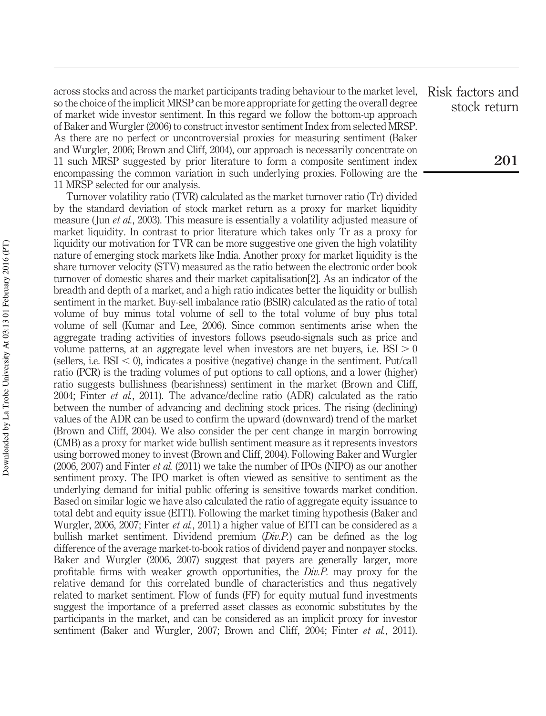across stocks and across the market participants trading behaviour to the market level, so the choice of the implicit MRSP can be more appropriate for getting the overall degree of market wide investor sentiment. In this regard we follow the bottom-up approach of Baker and Wurgler (2006) to construct investor sentiment Index from selected MRSP. As there are no perfect or uncontroversial proxies for measuring sentiment (Baker and Wurgler, 2006; Brown and Cliff, 2004), our approach is necessarily concentrate on 11 such MRSP suggested by prior literature to form a composite sentiment index encompassing the common variation in such underlying proxies. Following are the 11 MRSP selected for our analysis.

Turnover volatility ratio (TVR) calculated as the market turnover ratio (Tr) divided by the standard deviation of stock market return as a proxy for market liquidity measure ( Jun *et al.*, 2003). This measure is essentially a volatility adjusted measure of market liquidity. In contrast to prior literature which takes only Tr as a proxy for liquidity our motivation for TVR can be more suggestive one given the high volatility nature of emerging stock markets like India. Another proxy for market liquidity is the share turnover velocity (STV) measured as the ratio between the electronic order book turnover of domestic shares and their market capitalisation[2]. As an indicator of the breadth and depth of a market, and a high ratio indicates better the liquidity or bullish sentiment in the market. Buy-sell imbalance ratio (BSIR) calculated as the ratio of total volume of buy minus total volume of sell to the total volume of buy plus total volume of sell (Kumar and Lee, 2006). Since common sentiments arise when the aggregate trading activities of investors follows pseudo-signals such as price and volume patterns, at an aggregate level when investors are net buyers, i.e.  $BSI > 0$ (sellers, i.e.  $BSI < 0$ ), indicates a positive (negative) change in the sentiment. Put/call ratio (PCR) is the trading volumes of put options to call options, and a lower (higher) ratio suggests bullishness (bearishness) sentiment in the market (Brown and Cliff, 2004; Finter *et al.*, 2011). The advance/decline ratio (ADR) calculated as the ratio between the number of advancing and declining stock prices. The rising (declining) values of the ADR can be used to confirm the upward (downward) trend of the market (Brown and Cliff, 2004). We also consider the per cent change in margin borrowing (CMB) as a proxy for market wide bullish sentiment measure as it represents investors using borrowed money to invest (Brown and Cliff, 2004). Following Baker and Wurgler (2006, 2007) and Finter *et al.* (2011) we take the number of IPOs (NIPO) as our another sentiment proxy. The IPO market is often viewed as sensitive to sentiment as the underlying demand for initial public offering is sensitive towards market condition. Based on similar logic we have also calculated the ratio of aggregate equity issuance to total debt and equity issue (EITI). Following the market timing hypothesis (Baker and Wurgler, 2006, 2007; Finter *et al.*, 2011) a higher value of EITI can be considered as a bullish market sentiment. Dividend premium (*Div.P.*) can be defined as the log difference of the average market-to-book ratios of dividend payer and nonpayer stocks. Baker and Wurgler (2006, 2007) suggest that payers are generally larger, more profitable firms with weaker growth opportunities, the *Div.P.* may proxy for the relative demand for this correlated bundle of characteristics and thus negatively related to market sentiment. Flow of funds (FF) for equity mutual fund investments suggest the importance of a preferred asset classes as economic substitutes by the participants in the market, and can be considered as an implicit proxy for investor sentiment (Baker and Wurgler, 2007; Brown and Cliff, 2004; Finter *et al.*, 2011).

Risk factors and stock return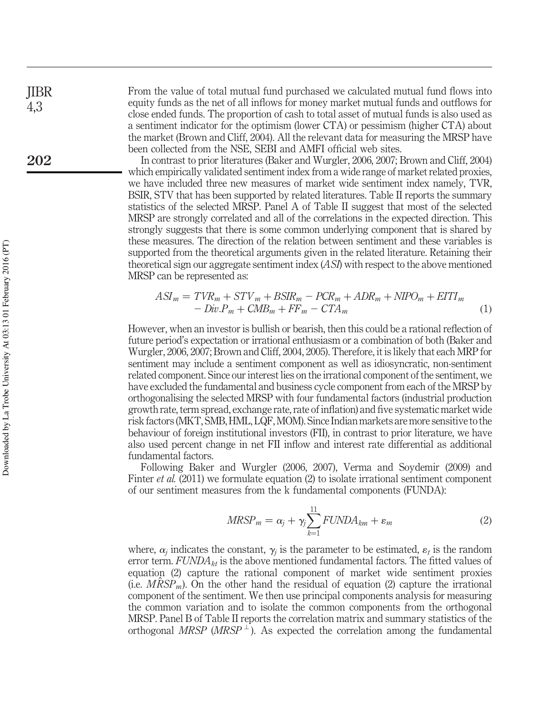From the value of total mutual fund purchased we calculated mutual fund flows into equity funds as the net of all inflows for money market mutual funds and outflows for close ended funds. The proportion of cash to total asset of mutual funds is also used as a sentiment indicator for the optimism (lower CTA) or pessimism (higher CTA) about the market (Brown and Cliff, 2004). All the relevant data for measuring the MRSP have been collected from the NSE, SEBI and AMFI official web sites.

In contrast to prior literatures (Baker and Wurgler, 2006, 2007; Brown and Cliff, 2004) which empirically validated sentiment index from a wide range of market related proxies, we have included three new measures of market wide sentiment index namely, TVR, BSIR, STV that has been supported by related literatures. Table II reports the summary statistics of the selected MRSP. Panel A of Table II suggest that most of the selected MRSP are strongly correlated and all of the correlations in the expected direction. This strongly suggests that there is some common underlying component that is shared by these measures. The direction of the relation between sentiment and these variables is supported from the theoretical arguments given in the related literature. Retaining their theoretical sign our aggregate sentiment index (*ASI*) with respect to the above mentioned MRSP can be represented as:

$$
ASI_m = TVR_m + STV_m + BSIR_m - PCR_m + ADR_m + NIPO_m + EITI_m - Div.P_m + CMB_m + FF_m - CTA_m
$$
\n(1)

However, when an investor is bullish or bearish, then this could be a rational reflection of future period's expectation or irrational enthusiasm or a combination of both (Baker and Wurgler, 2006, 2007; Brown and Cliff, 2004, 2005). Therefore, it is likely that each MRP for sentiment may include a sentiment component as well as idiosyncratic, non-sentiment related component. Since our interest lies on the irrational component of the sentiment, we have excluded the fundamental and business cycle component from each of the MRSP by orthogonalising the selected MRSP with four fundamental factors (industrial production growth rate, term spread, exchange rate, rate of inflation) and five systematic market wide risk factors (MKT, SMB,HML, LQF,MOM). Since Indian markets are more sensitive to the behaviour of foreign institutional investors (FII), in contrast to prior literature, we have also used percent change in net FII inflow and interest rate differential as additional fundamental factors.

Following Baker and Wurgler (2006, 2007), Verma and Soydemir (2009) and Finter *et al.* (2011) we formulate equation (2) to isolate irrational sentiment component of our sentiment measures from the k fundamental components (FUNDA):

$$
MRSP_m = \alpha_j + \gamma_j \sum_{k=1}^{11} FUNDA_{km} + \varepsilon_m \tag{2}
$$

where,  $\alpha_j$  indicates the constant,  $\gamma_j$  is the parameter to be estimated,  $\varepsilon_t$  is the random error term. *FUNDAkt* is the above mentioned fundamental factors. The fitted values of equation (2) capture the rational component of market wide sentiment proxies  $(i.e.  $\widehat{MRSP_m}$ ). On the other hand the residual of equation (2) capture the irrational$ component of the sentiment. We then use principal components analysis for measuring the common variation and to isolate the common components from the orthogonal MRSP. Panel B of Table II reports the correlation matrix and summary statistics of the orthogonal *MRSP* (*MRSP* ' ). As expected the correlation among the fundamental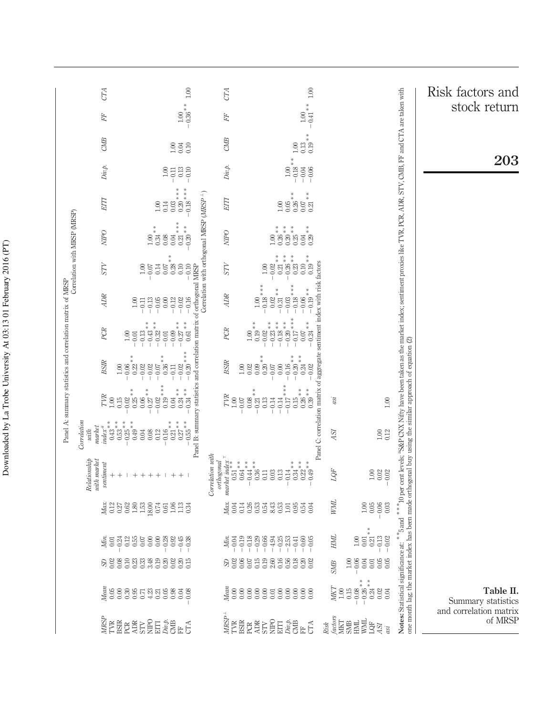Downloaded by La Trobe University At 03:13 01 February 2016 (PT) Downloaded by La Trobe University At 03:13 01 February 2016 (PT)

|                                                            | CTA                                      | $1.00\,$                                                                                                                                                                                                                                                                                                                                                                                                                                                            | <b>CTA</b>                                                 |                                                                                                                                                                                                                                                                                                                                                                                                                   | $\approx 0$<br>×                                                                                                                                                                                                                                                                                                                                                                                               |                                                                                   |                                                                                                                                                                                                                                                                                                                                                                                                                             |                                                                                                                                                                                                                                     | Risk factors and<br>stock return  |
|------------------------------------------------------------|------------------------------------------|---------------------------------------------------------------------------------------------------------------------------------------------------------------------------------------------------------------------------------------------------------------------------------------------------------------------------------------------------------------------------------------------------------------------------------------------------------------------|------------------------------------------------------------|-------------------------------------------------------------------------------------------------------------------------------------------------------------------------------------------------------------------------------------------------------------------------------------------------------------------------------------------------------------------------------------------------------------------|----------------------------------------------------------------------------------------------------------------------------------------------------------------------------------------------------------------------------------------------------------------------------------------------------------------------------------------------------------------------------------------------------------------|-----------------------------------------------------------------------------------|-----------------------------------------------------------------------------------------------------------------------------------------------------------------------------------------------------------------------------------------------------------------------------------------------------------------------------------------------------------------------------------------------------------------------------|-------------------------------------------------------------------------------------------------------------------------------------------------------------------------------------------------------------------------------------|-----------------------------------|
|                                                            | $\cal{FF}$                               | $-0.36$ *<br>$1.00\,$                                                                                                                                                                                                                                                                                                                                                                                                                                               | FF                                                         |                                                                                                                                                                                                                                                                                                                                                                                                                   | 1.00<br>$-\,0.41$                                                                                                                                                                                                                                                                                                                                                                                              |                                                                                   |                                                                                                                                                                                                                                                                                                                                                                                                                             |                                                                                                                                                                                                                                     |                                   |
|                                                            | CMB                                      | 0.30001                                                                                                                                                                                                                                                                                                                                                                                                                                                             | CMB                                                        |                                                                                                                                                                                                                                                                                                                                                                                                                   | $\begin{smallmatrix} 0.13 \\ 0.19 \end{smallmatrix}$ **<br>1.00                                                                                                                                                                                                                                                                                                                                                |                                                                                   |                                                                                                                                                                                                                                                                                                                                                                                                                             |                                                                                                                                                                                                                                     |                                   |
|                                                            | $Divp$ .                                 | $1.00\,$<br>$\begin{array}{c} 0.13 \\ -0.10 \end{array}$<br>$-0.11$                                                                                                                                                                                                                                                                                                                                                                                                 | $Divp$ .                                                   |                                                                                                                                                                                                                                                                                                                                                                                                                   | $\frac{1}{20}$<br>$-0.18$<br>$-0.04$<br>$-0.06$<br>$\frac{8}{100}$                                                                                                                                                                                                                                                                                                                                             |                                                                                   |                                                                                                                                                                                                                                                                                                                                                                                                                             |                                                                                                                                                                                                                                     | 203                               |
|                                                            | EITI                                     | $\cdot$ 0.18 $^{***}$<br>$0.20$ <sup>**</sup><br>$1.00\,$<br>$\,0.03$<br>0.14                                                                                                                                                                                                                                                                                                                                                                                       | ELLI                                                       |                                                                                                                                                                                                                                                                                                                                                                                                                   | $\begin{array}{@{}c@{\hspace{1em}}c@{\hspace{1em}}c@{\hspace{1em}}c@{\hspace{1em}}c@{\hspace{1em}}c@{\hspace{1em}}c@{\hspace{1em}}c@{\hspace{1em}}c@{\hspace{1em}}c@{\hspace{1em}}c@{\hspace{1em}}c@{\hspace{1em}}c@{\hspace{1em}}c@{\hspace{1em}}c@{\hspace{1em}}c@{\hspace{1em}}c@{\hspace{1em}}c@{\hspace{1em}}c@{\hspace{1em}}c@{\hspace{1em}}c@{\hspace{1em}}c@{\hspace{1em}}c@{\hspace{1em}}c@{\hspace{$ |                                                                                   |                                                                                                                                                                                                                                                                                                                                                                                                                             |                                                                                                                                                                                                                                     |                                   |
| Correlation with MRSP (MRSP)                               | <b>NIPO</b>                              | $0.04$<br>$0.21$<br>$-0.20$<br>$+0.20$<br>$\frac{1.00}{0.34}$ *<br>$0.08\,$                                                                                                                                                                                                                                                                                                                                                                                         | Correlation with orthogonal MRSP $(MRSP+)$<br><b>OdI</b> N |                                                                                                                                                                                                                                                                                                                                                                                                                   |                                                                                                                                                                                                                                                                                                                                                                                                                |                                                                                   |                                                                                                                                                                                                                                                                                                                                                                                                                             |                                                                                                                                                                                                                                     |                                   |
|                                                            | <b>STV</b>                               | * *<br>0.068<br>$\begin{array}{c} 0.10 \\ -0.10 \end{array}$<br>$1.00\,$<br>$-0.07$                                                                                                                                                                                                                                                                                                                                                                                 | <b>ALS</b>                                                 | $1.00\,$                                                                                                                                                                                                                                                                                                                                                                                                          |                                                                                                                                                                                                                                                                                                                                                                                                                |                                                                                   |                                                                                                                                                                                                                                                                                                                                                                                                                             |                                                                                                                                                                                                                                     |                                   |
|                                                            | ADR                                      | $-0.05$<br>$-0.16$<br>$-0.13$<br>$0.00\,$<br>$-0.12$<br>$-0.02$<br>$1.00\,$<br>$-\,0.11$                                                                                                                                                                                                                                                                                                                                                                            | ADR                                                        | 一条条<br>$-0.18$<br>$1.00\,$                                                                                                                                                                                                                                                                                                                                                                                        | $-0.18***$<br>$-0.19$ **<br>* *<br>$\frac{0.02}{-0.31}$<br>$-0.06$<br>$-0.03$                                                                                                                                                                                                                                                                                                                                  |                                                                                   |                                                                                                                                                                                                                                                                                                                                                                                                                             |                                                                                                                                                                                                                                     |                                   |
|                                                            | PCR                                      | $-0.13$<br>$-0.43$<br>$-0.32***$<br>$-0.09$ **<br>$0.61***$<br>$\frac{100}{-0.01}$<br>$-\,0.01$                                                                                                                                                                                                                                                                                                                                                                     | PCR                                                        | $-0.02$ **<br>$\begin{array}{c} 1.00 \\ 0.19 \end{array}$ **                                                                                                                                                                                                                                                                                                                                                      | $-0.17$ ***<br>$-0.18**$<br>$-0.20$ <sup>**</sup><br>$-0.24$ **<br>$0.07\,$                                                                                                                                                                                                                                                                                                                                    |                                                                                   |                                                                                                                                                                                                                                                                                                                                                                                                                             |                                                                                                                                                                                                                                     |                                   |
| Panel A: summary statistics and correlation matrix of MRSP | <b>BSIR</b>                              | $-0.20^{\; *}$<br>* *<br>$0.36***$<br>3888885<br>$-\,0.11$<br>$-0.02\,$                                                                                                                                                                                                                                                                                                                                                                                             | <b>BSIR</b>                                                | $\begin{array}{c} 1.00 \\ 0.02 \\ 0.08 \\ 0.07 \\ 0.07 \\ -0.00 \\ -0.01 \\ -0.04 \\ -0.04 \\ \end{array}$                                                                                                                                                                                                                                                                                                        | $0.24$ **<br>$-0.20**$<br>$-0.02$                                                                                                                                                                                                                                                                                                                                                                              |                                                                                   |                                                                                                                                                                                                                                                                                                                                                                                                                             |                                                                                                                                                                                                                                     |                                   |
|                                                            |                                          | $*$<br>* *<br>* *<br>$0.24$ **<br>$-0.34$ **<br>.<br>ชื่อ ยัง<br>-<br>0.19<br>$-\,0.02$<br>0.04                                                                                                                                                                                                                                                                                                                                                                     | TVR<br>$1.00\,$                                            | $\frac{*}{*}$<br>$-0.07$                                                                                                                                                                                                                                                                                                                                                                                          | * * *<br>$0.15$ **<br>$0.39***$<br>$-0.17$<br>$-\,0.14$                                                                                                                                                                                                                                                                                                                                                        | $\overline{a}$                                                                    | $1.00$                                                                                                                                                                                                                                                                                                                                                                                                                      |                                                                                                                                                                                                                                     |                                   |
|                                                            | Correlation<br>market<br>with            | Panel B: summary statistics and correlation matrix of orthogonal MRSP<br>$0.21$ **<br>$\begin{array}{c} * \ * \ * \ 0.27 * \ 0.55 * \ - \end{array}$<br>$-0.16$                                                                                                                                                                                                                                                                                                     |                                                            |                                                                                                                                                                                                                                                                                                                                                                                                                   |                                                                                                                                                                                                                                                                                                                                                                                                                | Panel C: correlation matrix of aggregate sentiment index with risk factors<br>ASI | $\begin{array}{c} 1.00 \\ 0.12 \end{array}$                                                                                                                                                                                                                                                                                                                                                                                 |                                                                                                                                                                                                                                     |                                   |
|                                                            | with market<br>Relationship<br>sentiment | $^{+}$<br>$+ + + + + +$<br>$^{+}$<br>$\mathbf{I}$                                                                                                                                                                                                                                                                                                                                                                                                                   | Correlation with<br>market index<br>0.51**<br>orthogonal   | $0.64***$                                                                                                                                                                                                                                                                                                                                                                                                         | $*$<br>黃葉<br>0.49<br>0.34<br>0.22<br>0.14                                                                                                                                                                                                                                                                                                                                                                      | LQF                                                                               | $1.00$<br>$0.02$<br>$0.02$                                                                                                                                                                                                                                                                                                                                                                                                  | <b>Notes:</b> Statistical significance at: $***$ and $****10$ per cent levels, "S&P CNX Nifty have been taken as the market index; sentiment proxies like TVR, PCR, ADR, STV, CMB, FF and CTA are taken with one month lag; the mar |                                   |
|                                                            |                                          | <b>Assissance</b><br>Assissances Sans                                                                                                                                                                                                                                                                                                                                                                                                                               |                                                            |                                                                                                                                                                                                                                                                                                                                                                                                                   | ta su su su su su su su                                                                                                                                                                                                                                                                                                                                                                                        | <b>TINM</b>                                                                       | $0.05$<br>$0.03$<br>$1.00\,$                                                                                                                                                                                                                                                                                                                                                                                                |                                                                                                                                                                                                                                     |                                   |
|                                                            |                                          | $\begin{array}{cccccccccccccc} \mathcal{L} & \mathcal{L} & \mathcal{L} & \mathcal{L} & \mathcal{L} & \mathcal{L} & \mathcal{L} & \mathcal{L} & \mathcal{L} & \mathcal{L} & \mathcal{L} & \mathcal{L} & \mathcal{L} & \mathcal{L} & \mathcal{L} & \mathcal{L} & \mathcal{L} & \mathcal{L} & \mathcal{L} & \mathcal{L} & \mathcal{L} & \mathcal{L} & \mathcal{L} & \mathcal{L} & \mathcal{L} & \mathcal{L} & \mathcal{L} & \mathcal{L} & \mathcal{L} & \mathcal{L} &$ |                                                            | $\begin{array}{cccccccccccccc} \mathbf{15} & \mathbf{25} & \mathbf{27} & \mathbf{28} & \mathbf{38} & \mathbf{38} & \mathbf{38} & \mathbf{38} & \mathbf{38} & \mathbf{38} & \mathbf{38} & \mathbf{38} & \mathbf{38} & \mathbf{38} & \mathbf{38} & \mathbf{38} & \mathbf{38} & \mathbf{38} & \mathbf{38} & \mathbf{38} & \mathbf{38} & \mathbf{38} & \mathbf{38} & \mathbf{38} & \mathbf{38} & \mathbf{38} & \math$ | $-0.05$                                                                                                                                                                                                                                                                                                                                                                                                        | HML                                                                               | $\begin{array}{c} 1.00 \\ 0.01 \\ 0.21 \end{array} **$<br>$-0.13$<br>$-0.02$                                                                                                                                                                                                                                                                                                                                                |                                                                                                                                                                                                                                     |                                   |
|                                                            |                                          | $B_0^3$                                                                                                                                                                                                                                                                                                                                                                                                                                                             |                                                            |                                                                                                                                                                                                                                                                                                                                                                                                                   | $B_0$ 88542848388                                                                                                                                                                                                                                                                                                                                                                                              | $\mathbb{S}MB$                                                                    | gagggg<br>1.00                                                                                                                                                                                                                                                                                                                                                                                                              |                                                                                                                                                                                                                                     |                                   |
|                                                            |                                          | $\frac{1}{2}$ 888854888888                                                                                                                                                                                                                                                                                                                                                                                                                                          |                                                            |                                                                                                                                                                                                                                                                                                                                                                                                                   | ∦88888588888                                                                                                                                                                                                                                                                                                                                                                                                   | MKT                                                                               | 35888888                                                                                                                                                                                                                                                                                                                                                                                                                    |                                                                                                                                                                                                                                     | Table II.<br>Summary statistics   |
|                                                            |                                          | <b>NEW REAGE CHARGE CHARGE</b>                                                                                                                                                                                                                                                                                                                                                                                                                                      |                                                            |                                                                                                                                                                                                                                                                                                                                                                                                                   | <b>MESH ENDER SHELF</b><br>ENDER SHELF SHELF<br>ENDER SHELF SHELF                                                                                                                                                                                                                                                                                                                                              |                                                                                   | $\begin{array}{l} \mathcal{R}^{3k}_{36} \\ \mathcal{R}^{2dors} \\ \mathcal{R}^{12d} \\ \mathcal{S}^{2d} \\ \mathcal{R}^{3d} \\ \mathcal{R}^{3d} \\ \mathcal{R}^{3d} \\ \mathcal{S}^{3d} \\ \mathcal{A}^{3d} \\ \mathcal{S}^{3d} \\ \mathcal{S}^{3d} \\ \mathcal{S}^{3d} \\ \mathcal{S}^{3d} \\ \mathcal{S}^{3d} \\ \mathcal{S}^{3d} \\ \mathcal{S}^{3d} \\ \mathcal{S}^{3d} \\ \mathcal{S}^{3d} \\ \mathcal{S}^{3d}$<br>asi |                                                                                                                                                                                                                                     | and correlation matrix<br>of MRSP |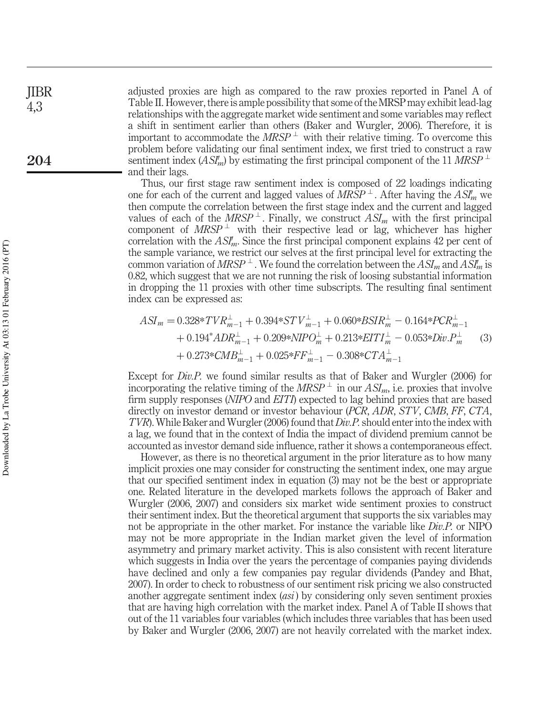adjusted proxies are high as compared to the raw proxies reported in Panel A of Table II. However, there is ample possibility that some of the MRSP may exhibit lead-lag relationships with the aggregate market wide sentiment and some variables may reflect a shift in sentiment earlier than others (Baker and Wurgler, 2006). Therefore, it is important to accommodate the  $MRSP^{\perp}$  with their relative timing. To overcome this problem before validating our final sentiment index, we first tried to construct a raw sentiment index  $(AS<sup>T</sup><sub>m</sub>)$  by estimating the first principal component of the 11 *MRSP*  $^{\perp}$ and their lags.

Thus, our first stage raw sentiment index is composed of 22 loadings indicating one for each of the current and lagged values of  $MRSP^{\perp}$ . After having the  $ASI_m^{\prime}$  we then compute the correlation between the first stage index and the current and lagged values of each of the  $MRSP^{\perp}$ . Finally, we construct  $ASI_m$  with the first principal component of  $MRSP^{\perp}$  with their respective lead or lag, whichever has higher correlation with the  $AS_{m}^{I}$ . Since the first principal component explains 42 per cent of the sample variance, we restrict our selves at the first principal level for extracting the common variation of  $MRSP^{\perp}$ . We found the correlation between the  $ASI_m$  and  $ASI'_m$  is 0.82, which suggest that we are not running the risk of loosing substantial information in dropping the 11 proxies with other time subscripts. The resulting final sentiment index can be expressed as:

$$
ASI_m = 0.328 \cdot TVR_{m-1}^{\perp} + 0.394 \cdot STV_{m-1}^{\perp} + 0.060 \cdot BSIR_m^{\perp} - 0.164 \cdot PCR_{m-1}^{\perp}
$$
  
+ 0.194 \cdot ADR\_{m-1}^{\perp} + 0.209 \cdot NIPO\_m^{\perp} + 0.213 \cdot EITI\_m^{\perp} - 0.053 \cdot Div.P\_m^{\perp} (3)  
+ 0.273 \cdot CMB\_{m-1}^{\perp} + 0.025 \cdot FF\_{m-1}^{\perp} - 0.308 \cdot CTA\_{m-1}^{\perp}

Except for *Div.P.* we found similar results as that of Baker and Wurgler (2006) for incorporating the relative timing of the  $MRSP^{\perp}$  in our  $ASI_m$ , i.e. proxies that involve firm supply responses (*NIPO* and *EITI*) expected to lag behind proxies that are based directly on investor demand or investor behaviour (*PCR*, *ADR*, *STV*, *CMB*, *FF*, *CTA*, *TVR*). While Baker and Wurgler (2006) found that*Div.P.* should enter into the index with a lag, we found that in the context of India the impact of dividend premium cannot be accounted as investor demand side influence, rather it shows a contemporaneous effect.

However, as there is no theoretical argument in the prior literature as to how many implicit proxies one may consider for constructing the sentiment index, one may argue that our specified sentiment index in equation (3) may not be the best or appropriate one. Related literature in the developed markets follows the approach of Baker and Wurgler (2006, 2007) and considers six market wide sentiment proxies to construct their sentiment index. But the theoretical argument that supports the six variables may not be appropriate in the other market. For instance the variable like *Div.P.* or NIPO may not be more appropriate in the Indian market given the level of information asymmetry and primary market activity. This is also consistent with recent literature which suggests in India over the years the percentage of companies paying dividends have declined and only a few companies pay regular dividends (Pandey and Bhat, 2007). In order to check to robustness of our sentiment risk pricing we also constructed another aggregate sentiment index (*asi* ) by considering only seven sentiment proxies that are having high correlation with the market index. Panel A of Table II shows that out of the 11 variables four variables (which includes three variables that has been used by Baker and Wurgler (2006, 2007) are not heavily correlated with the market index.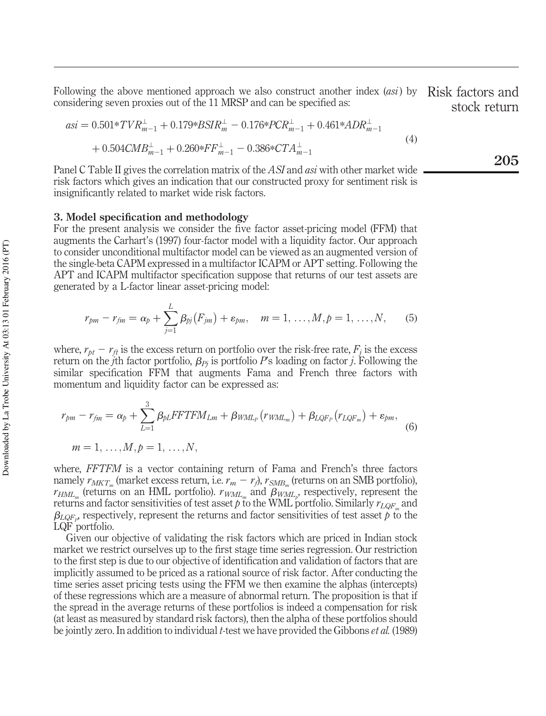Following the above mentioned approach we also construct another index (*asi* ) by considering seven proxies out of the 11 MRSP and can be specified as: Risk factors and stock return

$$
asi = 0.501*TVR_{m-1}^{\perp} + 0.179*BSIR_m^{\perp} - 0.176*PCR_{m-1}^{\perp} + 0.461*ADR_{m-1}^{\perp}
$$
  
+ 0.504CMB\_{m-1}^{\perp} + 0.260\*FF\_{m-1}^{\perp} - 0.386\*CTA\_{m-1}^{\perp} (4)

Panel C Table II gives the correlation matrix of the *ASI* and *asi* with other market wide risk factors which gives an indication that our constructed proxy for sentiment risk is insignificantly related to market wide risk factors.

#### 3. Model specification and methodology

For the present analysis we consider the five factor asset-pricing model (FFM) that augments the Carhart's (1997) four-factor model with a liquidity factor. Our approach to consider unconditional multifactor model can be viewed as an augmented version of the single-beta CAPM expressed in a multifactor ICAPM or APT setting. Following the APT and ICAPM multifactor specification suppose that returns of our test assets are generated by a L-factor linear asset-pricing model:

$$
r_{pm} - r_{fm} = \alpha_p + \sum_{j=1}^{L} \beta_{pj}(F_{jm}) + \varepsilon_{pm}, \quad m = 1, ..., M, p = 1, ..., N,
$$
 (5)

where,  $r_{pt} - r_{ft}$  is the excess return on portfolio over the risk-free rate,  $F_j$  is the excess return on the *j*th factor portfolio,  $\beta_{Pj}$  is portfolio P's loading on factor *j*. Following the similar specification FFM that augments Fama and French three factors with momentum and liquidity factor can be expressed as:

$$
r_{pm} - r_{fm} = \alpha_p + \sum_{L=1}^{3} \beta_{pL} FFTFM_{Lm} + \beta_{WML_p} (r_{WML_m}) + \beta_{LQF_p} (r_{LQF_m}) + \varepsilon_{pm},
$$
  
\n
$$
m = 1, ..., M, p = 1, ..., N,
$$
\n(6)

where, *FFTFM* is a vector containing return of Fama and French's three factors namely  $r_{MKT_m}$  (market excess return, i.e.  $r_m - r_f$ ),  $r_{SMB_m}$  (returns on an SMB portfolio),  $r_{HML_m}$  (returns on an HML portfolio).  $r_{WML_m}$  and  $\beta_{WML_p}$ , respectively, represent the returns and factor sensitivities of test asset  $p$  to the WML portfolio. Similarly  $r_{LQF_m}$  and  $\beta_{LQF_P}$  respectively, represent the returns and factor sensitivities of test asset  $p$  to the LQF portfolio.

Given our objective of validating the risk factors which are priced in Indian stock market we restrict ourselves up to the first stage time series regression. Our restriction to the first step is due to our objective of identification and validation of factors that are implicitly assumed to be priced as a rational source of risk factor. After conducting the time series asset pricing tests using the FFM we then examine the alphas (intercepts) of these regressions which are a measure of abnormal return. The proposition is that if the spread in the average returns of these portfolios is indeed a compensation for risk (at least as measured by standard risk factors), then the alpha of these portfolios should be jointly zero. In addition to individual *t*-test we have provided the Gibbons *et al.* (1989)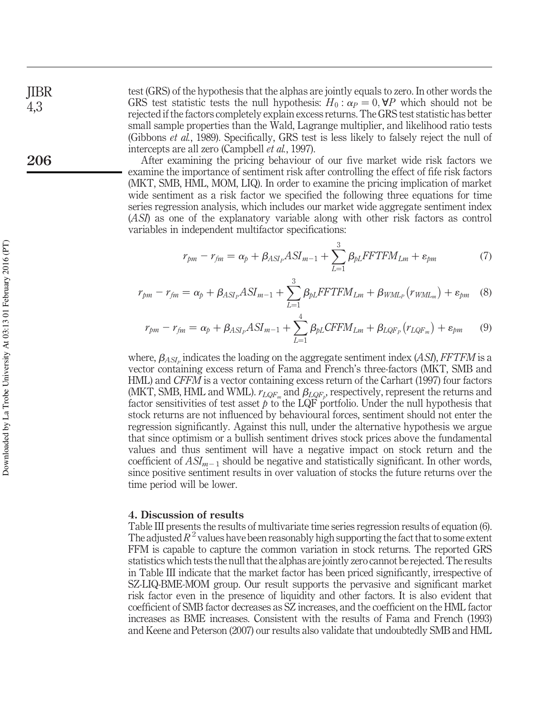test (GRS) of the hypothesis that the alphas are jointly equals to zero. In other words the GRS test statistic tests the null hypothesis:  $H_0$ :  $\alpha_p = 0$ ,  $\nabla P$  which should not be rejected if the factors completely explain excess returns. The GRS test statistic has better small sample properties than the Wald, Lagrange multiplier, and likelihood ratio tests (Gibbons *et al.*, 1989). Specifically, GRS test is less likely to falsely reject the null of intercepts are all zero (Campbell *et al.*, 1997).

After examining the pricing behaviour of our five market wide risk factors we examine the importance of sentiment risk after controlling the effect of fife risk factors (MKT, SMB, HML, MOM, LIQ). In order to examine the pricing implication of market wide sentiment as a risk factor we specified the following three equations for time series regression analysis, which includes our market wide aggregate sentiment index (*ASI*) as one of the explanatory variable along with other risk factors as control variables in independent multifactor specifications:

$$
r_{pm} - r_{fm} = \alpha_p + \beta_{ASI_p} ASI_{m-1} + \sum_{L=1}^{3} \beta_{pL} FFTFM_{Lm} + \varepsilon_{pm}
$$
 (7)

$$
r_{\ell m} - r_{\ell m} = \alpha_{\ell} + \beta_{ASI_{P}} ASI_{m-1} + \sum_{L=1}^{3} \beta_{\ell L} FFTFM_{Lm} + \beta_{WML_{P}}(r_{WML_{m}}) + \varepsilon_{\ell m} \quad (8)
$$

$$
r_{pm} - r_{fm} = \alpha_p + \beta_{ASI_p} ASI_{m-1} + \sum_{L=1}^{4} \beta_{pL} CFFM_{Lm} + \beta_{LQF_p}(r_{LQF_m}) + \varepsilon_{pm}
$$
(9)

where,  $\beta_{ASP}$  indicates the loading on the aggregate sentiment index (*ASI*), *FFTFM* is a vector containing excess return of Fama and French's three-factors (MKT, SMB and HML) and *CFFM* is a vector containing excess return of the Carhart (1997) four factors (MKT, SMB, HML and WML).  $r_{LQF_m}$  and  $\beta_{LQF_p}$  respectively, represent the returns and factor sensitivities of test asset *p* to the LQF portfolio. Under the null hypothesis that stock returns are not influenced by behavioural forces, sentiment should not enter the regression significantly. Against this null, under the alternative hypothesis we argue that since optimism or a bullish sentiment drives stock prices above the fundamental values and thus sentiment will have a negative impact on stock return and the coefficient of  $ASI_{m-1}$  should be negative and statistically significant. In other words, since positive sentiment results in over valuation of stocks the future returns over the time period will be lower.

#### 4. Discussion of results

Table III presents the results of multivariate time series regression results of equation (6). The adjusted  $R^2$  values have been reasonably high supporting the fact that to some extent FFM is capable to capture the common variation in stock returns. The reported GRS statistics which tests the null that the alphas are jointly zero cannot be rejected. The results in Table III indicate that the market factor has been priced significantly, irrespective of SZ-LIQ-BME-MOM group. Our result supports the pervasive and significant market risk factor even in the presence of liquidity and other factors. It is also evident that coefficient of SMB factor decreases as SZ increases, and the coefficient on the HML factor increases as BME increases. Consistent with the results of Fama and French (1993) and Keene and Peterson (2007) our results also validate that undoubtedly SMB and HML

206

JIBR 4,3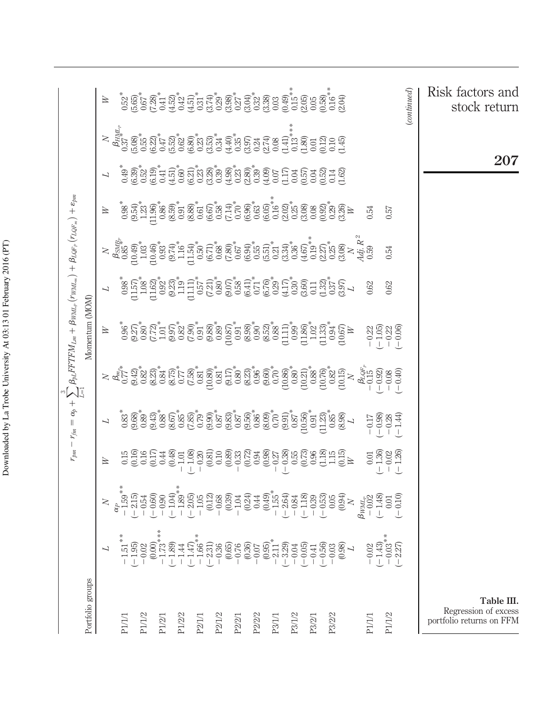Downloaded by La Trobe University At 03:13 01 February 2016 (PT) Downloaded by La Trobe University At 03:13 01 February 2016 (PT)

|                                                                                                                                                                                                                                                                                                                                                                                                                                                                                                                |                                                                |                                                                                                                                                                                                                                                                                                                                                                                                                                                                                                                                                                    |                                                                                                                                                                                                                                                                                                                                                                                                                                                                                                                                                                                                 | $r_{pm} - r_{fm} = \alpha_{\hat{p}} + \sum_{L=1}^{3} \beta_{pL} F T T F M_{Lm} + \beta n_{ML_P}(r_{WM_m}) + \beta_{LQF_P}(r_{LQF_m}) + \varepsilon_{pm}$<br>Momentum (MOM)                                                                                                                                                                                                                                                                                                                                                                                                |                                                                                                                                                                                                                                                                                                                                                                                                                           |                                                                                                                                                                                                                                                                                                                                                                                                                                                                                  |                                                                                                                                                                                                                                                                                                                                                                                                                                                                     |                                                                                                                                                                                                                                    |                                                                                                                                                                                                                                     |
|----------------------------------------------------------------------------------------------------------------------------------------------------------------------------------------------------------------------------------------------------------------------------------------------------------------------------------------------------------------------------------------------------------------------------------------------------------------------------------------------------------------|----------------------------------------------------------------|--------------------------------------------------------------------------------------------------------------------------------------------------------------------------------------------------------------------------------------------------------------------------------------------------------------------------------------------------------------------------------------------------------------------------------------------------------------------------------------------------------------------------------------------------------------------|-------------------------------------------------------------------------------------------------------------------------------------------------------------------------------------------------------------------------------------------------------------------------------------------------------------------------------------------------------------------------------------------------------------------------------------------------------------------------------------------------------------------------------------------------------------------------------------------------|---------------------------------------------------------------------------------------------------------------------------------------------------------------------------------------------------------------------------------------------------------------------------------------------------------------------------------------------------------------------------------------------------------------------------------------------------------------------------------------------------------------------------------------------------------------------------|---------------------------------------------------------------------------------------------------------------------------------------------------------------------------------------------------------------------------------------------------------------------------------------------------------------------------------------------------------------------------------------------------------------------------|----------------------------------------------------------------------------------------------------------------------------------------------------------------------------------------------------------------------------------------------------------------------------------------------------------------------------------------------------------------------------------------------------------------------------------------------------------------------------------|---------------------------------------------------------------------------------------------------------------------------------------------------------------------------------------------------------------------------------------------------------------------------------------------------------------------------------------------------------------------------------------------------------------------------------------------------------------------|------------------------------------------------------------------------------------------------------------------------------------------------------------------------------------------------------------------------------------|-------------------------------------------------------------------------------------------------------------------------------------------------------------------------------------------------------------------------------------|
|                                                                                                                                                                                                                                                                                                                                                                                                                                                                                                                | $\not\equiv$                                                   |                                                                                                                                                                                                                                                                                                                                                                                                                                                                                                                                                                    |                                                                                                                                                                                                                                                                                                                                                                                                                                                                                                                                                                                                 | $\cancel{\approx}$                                                                                                                                                                                                                                                                                                                                                                                                                                                                                                                                                        |                                                                                                                                                                                                                                                                                                                                                                                                                           |                                                                                                                                                                                                                                                                                                                                                                                                                                                                                  | $\not\equiv$                                                                                                                                                                                                                                                                                                                                                                                                                                                        |                                                                                                                                                                                                                                    | $\not\equiv$                                                                                                                                                                                                                        |
| $\times \begin{array}{l} \begin{array}{l} \ast \\ 8 \end{array} & \begin{array}{l} \ast \\ 10 \end{array} & \begin{array}{l} \ast \\ 10 \end{array} & \begin{array}{l} \ast \\ 10 \end{array} & \begin{array}{l} \ast \\ 10 \end{array} & \begin{array}{l} \ast \\ 10 \end{array} & \begin{array}{l} \ast \\ 10 \end{array} & \begin{array}{l} \ast \\ 10 \end{array} & \begin{array}{l} \ast \\ 10 \end{array} & \begin{array}{l} \ast \\ 10 \end{array} & \begin{array}{l} \ast \\ 10 \end{array} & \begin{$ |                                                                | $\begin{array}{l} \mathring{\mathcal{B}}\mathrel{\overset{\ast}{\mathcal{B}}}\mathrel{\overset{\ast}{\mathcal{B}}}\mathrel{\overset{\ast}{\mathcal{B}}}\mathrel{\overset{\ast}{\mathcal{B}}}\mathrel{\overset{\ast}{\mathcal{B}}}\mathrel{\overset{\ast}{\mathcal{B}}}\mathrel{\overset{\ast}{\mathcal{B}}}\mathrel{\overset{\ast}{\mathcal{B}}}\mathrel{\overset{\ast}{\mathcal{B}}}\mathrel{\overset{\ast}{\mathcal{B}}}\mathrel{\overset{\ast}{\mathcal{B}}}\mathrel{\overset{\ast}{\mathcal{B}}}\mathrel{\overset{\ast}{\mathcal{B}}}\mathrel{\overset{\ast}{$ | $\times \overset{\hspace{0.1em}\mathsf{\scriptscriptstyle\$}}{=} \overset{\hspace{0.1em}\mathsf{\scriptscriptstyle\$}}{=} \overset{\hspace{0.1em}\mathsf{\scriptscriptstyle\$}}{=} \overset{\hspace{0.1em}\mathsf{\scriptscriptstyle\$}}{=} \overset{\hspace{0.1em}\mathsf{\scriptscriptstyle\$}}{=} \overset{\hspace{0.1em}\mathsf{\scriptscriptstyle\$}}{=} \overset{\hspace{0.1em}\mathsf{\scriptscriptstyle\$}}{=} \overset{\hspace{0.1em}\mathsf{\scriptscriptstyle\$}}{=} \overset{\hspace{0.1em}\mathsf{\scriptscriptstyle\$}}{=} \overset{\hspace{0.1em}\mathsf{\scriptscriptstyle\$}}$ | $\begin{array}{l} \left( \begin{array}{l@{\quad}l} \circ \\ \circ \\ \circ \circ \end{array} \right) \circ \left( \begin{array}{l@{\quad}l} \circ \\ \circ \\ \circ \end{array} \right) \circ \left( \begin{array}{l@{\quad}l} \circ \\ \circ \\ \circ \end{array} \right) \circ \left( \begin{array}{l@{\quad}l} \circ \\ \circ \\ \circ \end{array} \right) \circ \left( \begin{array}{l@{\quad}l} \circ \\ \circ \\ \circ \end{array} \right) \circ \left( \begin{array}{l@{\quad}l} \circ \\ \circ \\ \circ \end{array} \right) \circ \left( \begin{array}{l@{\quad}$ | $\begin{array}{l} \mathbb{\mathring{S}}_{3}^{*}\mathbb{S}_{3}^{*}\mathbb{S}_{3}^{*}\mathbb{S}_{3}^{*}\mathbb{S}_{3}^{*}\mathbb{S}_{4}^{*}\\ \mathbb{S}_{4}^{*}\mathbb{S}_{4}^{*}\mathbb{S}_{3}^{*}\mathbb{S}_{4}^{*}\mathbb{S}_{4}^{*}\mathbb{S}_{4}^{*}\mathbb{S}_{4}^{*}\mathbb{S}_{4}^{*}\mathbb{S}_{4}^{*}\mathbb{S}_{4}^{*}\mathbb{S}_{4}^{*}\mathbb{S}_{4}^{*}\mathbb{S}_{4}^{*}\\ \mathbb{S}_{4}^{*}\mathbb{S}_{4$ | $\times \underbrace{g_{\text{SUS}}^{ss}}_{\text{GUS}} \underbrace{g_{\text{SUS}}^{ss}}_{\text{GUS}} \underbrace{g_{\text{SUS}}^{ss}}_{\text{GUS}} \underbrace{g_{\text{SUS}}^{ss}}_{\text{GUS}} \underbrace{g_{\text{SUS}}^{ss}}_{\text{GUS}} \underbrace{g_{\text{SUS}}^{ss}}_{\text{GUS}} \underbrace{g_{\text{SUS}}^{ss}}_{\text{GUS}} \underbrace{g_{\text{SUS}}^{ss}}_{\text{GUS}} \underbrace{g_{\text{SUS}}^{ss}}_{\text{GUS}} \underbrace{g_{\text{SUS}}^{ss}}_{\text{G$ | $\begin{array}{l} \stackrel{*}{\circ}S, \stackrel{*}{\circ}S, \stackrel{*}{\circ}S, \stackrel{3}{\circ}S, \stackrel{3}{\circ}S, \stackrel{3}{\circ}S, \stackrel{3}{\circ}S, \stackrel{3}{\circ}S, \stackrel{3}{\circ}S, \stackrel{3}{\circ}S, \stackrel{3}{\circ}S, \stackrel{3}{\circ}S, \stackrel{3}{\circ}S, \stackrel{3}{\circ}S, \stackrel{3}{\circ}S, \stackrel{3}{\circ}S, \stackrel{3}{\circ}S, \stackrel{3}{\circ}S, \stackrel{3}{\circ}S, \stackrel{3}{\$ | ُوَّ * وَ مِنْ يَقْدِمُ * وَ مِنْ يَوْمٍ * وَ مَنْ يَوْمٍ * وَ مَنْ يَوْمٍ * وَ مَنْ يَوْمٍ * وَ مَنْ<br>وَ فَاللَّهِ مِنْ يَوْمِ وَ مِنْ يَوْمِ * وَ مَنْ يَوْمِ مِنْ يَوْمِ وَ مَنْ يَوْمِ مِنْ يَوْمِ * وَ مَنْ يَوْ<br>وَ مَنْ |                                                                                                                                                                                                                                     |
|                                                                                                                                                                                                                                                                                                                                                                                                                                                                                                                |                                                                |                                                                                                                                                                                                                                                                                                                                                                                                                                                                                                                                                                    |                                                                                                                                                                                                                                                                                                                                                                                                                                                                                                                                                                                                 |                                                                                                                                                                                                                                                                                                                                                                                                                                                                                                                                                                           |                                                                                                                                                                                                                                                                                                                                                                                                                           |                                                                                                                                                                                                                                                                                                                                                                                                                                                                                  |                                                                                                                                                                                                                                                                                                                                                                                                                                                                     |                                                                                                                                                                                                                                    | رُّ مَّا وَ رَبِّكُمْ وَ اللَّهِ وَ اللَّهِ وَ اللَّهُ وَ اللَّهُ وَ اللَّهُ وَ اللَّهُ وَ اللَّهُ وَ اللَّهُ<br>وَ اللَّهُ وَ اللَّهُ وَ اللَّهُ وَ اللَّهُ وَ اللَّهُ وَ اللَّهُ وَ اللَّهُ وَ اللَّهُ وَ اللَّهُ وَ اللَّهُ<br>و |
|                                                                                                                                                                                                                                                                                                                                                                                                                                                                                                                |                                                                |                                                                                                                                                                                                                                                                                                                                                                                                                                                                                                                                                                    |                                                                                                                                                                                                                                                                                                                                                                                                                                                                                                                                                                                                 |                                                                                                                                                                                                                                                                                                                                                                                                                                                                                                                                                                           |                                                                                                                                                                                                                                                                                                                                                                                                                           |                                                                                                                                                                                                                                                                                                                                                                                                                                                                                  |                                                                                                                                                                                                                                                                                                                                                                                                                                                                     |                                                                                                                                                                                                                                    |                                                                                                                                                                                                                                     |
|                                                                                                                                                                                                                                                                                                                                                                                                                                                                                                                |                                                                |                                                                                                                                                                                                                                                                                                                                                                                                                                                                                                                                                                    |                                                                                                                                                                                                                                                                                                                                                                                                                                                                                                                                                                                                 |                                                                                                                                                                                                                                                                                                                                                                                                                                                                                                                                                                           |                                                                                                                                                                                                                                                                                                                                                                                                                           |                                                                                                                                                                                                                                                                                                                                                                                                                                                                                  |                                                                                                                                                                                                                                                                                                                                                                                                                                                                     |                                                                                                                                                                                                                                    |                                                                                                                                                                                                                                     |
|                                                                                                                                                                                                                                                                                                                                                                                                                                                                                                                |                                                                |                                                                                                                                                                                                                                                                                                                                                                                                                                                                                                                                                                    |                                                                                                                                                                                                                                                                                                                                                                                                                                                                                                                                                                                                 |                                                                                                                                                                                                                                                                                                                                                                                                                                                                                                                                                                           |                                                                                                                                                                                                                                                                                                                                                                                                                           |                                                                                                                                                                                                                                                                                                                                                                                                                                                                                  |                                                                                                                                                                                                                                                                                                                                                                                                                                                                     |                                                                                                                                                                                                                                    |                                                                                                                                                                                                                                     |
|                                                                                                                                                                                                                                                                                                                                                                                                                                                                                                                |                                                                |                                                                                                                                                                                                                                                                                                                                                                                                                                                                                                                                                                    |                                                                                                                                                                                                                                                                                                                                                                                                                                                                                                                                                                                                 |                                                                                                                                                                                                                                                                                                                                                                                                                                                                                                                                                                           |                                                                                                                                                                                                                                                                                                                                                                                                                           |                                                                                                                                                                                                                                                                                                                                                                                                                                                                                  |                                                                                                                                                                                                                                                                                                                                                                                                                                                                     |                                                                                                                                                                                                                                    |                                                                                                                                                                                                                                     |
|                                                                                                                                                                                                                                                                                                                                                                                                                                                                                                                |                                                                |                                                                                                                                                                                                                                                                                                                                                                                                                                                                                                                                                                    |                                                                                                                                                                                                                                                                                                                                                                                                                                                                                                                                                                                                 |                                                                                                                                                                                                                                                                                                                                                                                                                                                                                                                                                                           |                                                                                                                                                                                                                                                                                                                                                                                                                           |                                                                                                                                                                                                                                                                                                                                                                                                                                                                                  |                                                                                                                                                                                                                                                                                                                                                                                                                                                                     |                                                                                                                                                                                                                                    |                                                                                                                                                                                                                                     |
|                                                                                                                                                                                                                                                                                                                                                                                                                                                                                                                |                                                                |                                                                                                                                                                                                                                                                                                                                                                                                                                                                                                                                                                    |                                                                                                                                                                                                                                                                                                                                                                                                                                                                                                                                                                                                 |                                                                                                                                                                                                                                                                                                                                                                                                                                                                                                                                                                           |                                                                                                                                                                                                                                                                                                                                                                                                                           |                                                                                                                                                                                                                                                                                                                                                                                                                                                                                  |                                                                                                                                                                                                                                                                                                                                                                                                                                                                     |                                                                                                                                                                                                                                    |                                                                                                                                                                                                                                     |
|                                                                                                                                                                                                                                                                                                                                                                                                                                                                                                                |                                                                |                                                                                                                                                                                                                                                                                                                                                                                                                                                                                                                                                                    |                                                                                                                                                                                                                                                                                                                                                                                                                                                                                                                                                                                                 |                                                                                                                                                                                                                                                                                                                                                                                                                                                                                                                                                                           |                                                                                                                                                                                                                                                                                                                                                                                                                           |                                                                                                                                                                                                                                                                                                                                                                                                                                                                                  |                                                                                                                                                                                                                                                                                                                                                                                                                                                                     |                                                                                                                                                                                                                                    |                                                                                                                                                                                                                                     |
|                                                                                                                                                                                                                                                                                                                                                                                                                                                                                                                |                                                                |                                                                                                                                                                                                                                                                                                                                                                                                                                                                                                                                                                    |                                                                                                                                                                                                                                                                                                                                                                                                                                                                                                                                                                                                 |                                                                                                                                                                                                                                                                                                                                                                                                                                                                                                                                                                           |                                                                                                                                                                                                                                                                                                                                                                                                                           |                                                                                                                                                                                                                                                                                                                                                                                                                                                                                  |                                                                                                                                                                                                                                                                                                                                                                                                                                                                     |                                                                                                                                                                                                                                    |                                                                                                                                                                                                                                     |
|                                                                                                                                                                                                                                                                                                                                                                                                                                                                                                                |                                                                |                                                                                                                                                                                                                                                                                                                                                                                                                                                                                                                                                                    |                                                                                                                                                                                                                                                                                                                                                                                                                                                                                                                                                                                                 |                                                                                                                                                                                                                                                                                                                                                                                                                                                                                                                                                                           |                                                                                                                                                                                                                                                                                                                                                                                                                           |                                                                                                                                                                                                                                                                                                                                                                                                                                                                                  |                                                                                                                                                                                                                                                                                                                                                                                                                                                                     |                                                                                                                                                                                                                                    |                                                                                                                                                                                                                                     |
|                                                                                                                                                                                                                                                                                                                                                                                                                                                                                                                |                                                                |                                                                                                                                                                                                                                                                                                                                                                                                                                                                                                                                                                    |                                                                                                                                                                                                                                                                                                                                                                                                                                                                                                                                                                                                 |                                                                                                                                                                                                                                                                                                                                                                                                                                                                                                                                                                           |                                                                                                                                                                                                                                                                                                                                                                                                                           |                                                                                                                                                                                                                                                                                                                                                                                                                                                                                  |                                                                                                                                                                                                                                                                                                                                                                                                                                                                     |                                                                                                                                                                                                                                    |                                                                                                                                                                                                                                     |
|                                                                                                                                                                                                                                                                                                                                                                                                                                                                                                                |                                                                |                                                                                                                                                                                                                                                                                                                                                                                                                                                                                                                                                                    |                                                                                                                                                                                                                                                                                                                                                                                                                                                                                                                                                                                                 |                                                                                                                                                                                                                                                                                                                                                                                                                                                                                                                                                                           |                                                                                                                                                                                                                                                                                                                                                                                                                           |                                                                                                                                                                                                                                                                                                                                                                                                                                                                                  |                                                                                                                                                                                                                                                                                                                                                                                                                                                                     |                                                                                                                                                                                                                                    |                                                                                                                                                                                                                                     |
|                                                                                                                                                                                                                                                                                                                                                                                                                                                                                                                |                                                                |                                                                                                                                                                                                                                                                                                                                                                                                                                                                                                                                                                    |                                                                                                                                                                                                                                                                                                                                                                                                                                                                                                                                                                                                 |                                                                                                                                                                                                                                                                                                                                                                                                                                                                                                                                                                           |                                                                                                                                                                                                                                                                                                                                                                                                                           |                                                                                                                                                                                                                                                                                                                                                                                                                                                                                  |                                                                                                                                                                                                                                                                                                                                                                                                                                                                     |                                                                                                                                                                                                                                    |                                                                                                                                                                                                                                     |
|                                                                                                                                                                                                                                                                                                                                                                                                                                                                                                                |                                                                |                                                                                                                                                                                                                                                                                                                                                                                                                                                                                                                                                                    |                                                                                                                                                                                                                                                                                                                                                                                                                                                                                                                                                                                                 |                                                                                                                                                                                                                                                                                                                                                                                                                                                                                                                                                                           |                                                                                                                                                                                                                                                                                                                                                                                                                           |                                                                                                                                                                                                                                                                                                                                                                                                                                                                                  |                                                                                                                                                                                                                                                                                                                                                                                                                                                                     |                                                                                                                                                                                                                                    |                                                                                                                                                                                                                                     |
|                                                                                                                                                                                                                                                                                                                                                                                                                                                                                                                |                                                                |                                                                                                                                                                                                                                                                                                                                                                                                                                                                                                                                                                    |                                                                                                                                                                                                                                                                                                                                                                                                                                                                                                                                                                                                 |                                                                                                                                                                                                                                                                                                                                                                                                                                                                                                                                                                           |                                                                                                                                                                                                                                                                                                                                                                                                                           |                                                                                                                                                                                                                                                                                                                                                                                                                                                                                  |                                                                                                                                                                                                                                                                                                                                                                                                                                                                     |                                                                                                                                                                                                                                    |                                                                                                                                                                                                                                     |
|                                                                                                                                                                                                                                                                                                                                                                                                                                                                                                                |                                                                |                                                                                                                                                                                                                                                                                                                                                                                                                                                                                                                                                                    |                                                                                                                                                                                                                                                                                                                                                                                                                                                                                                                                                                                                 |                                                                                                                                                                                                                                                                                                                                                                                                                                                                                                                                                                           |                                                                                                                                                                                                                                                                                                                                                                                                                           |                                                                                                                                                                                                                                                                                                                                                                                                                                                                                  |                                                                                                                                                                                                                                                                                                                                                                                                                                                                     |                                                                                                                                                                                                                                    |                                                                                                                                                                                                                                     |
|                                                                                                                                                                                                                                                                                                                                                                                                                                                                                                                |                                                                |                                                                                                                                                                                                                                                                                                                                                                                                                                                                                                                                                                    |                                                                                                                                                                                                                                                                                                                                                                                                                                                                                                                                                                                                 |                                                                                                                                                                                                                                                                                                                                                                                                                                                                                                                                                                           |                                                                                                                                                                                                                                                                                                                                                                                                                           |                                                                                                                                                                                                                                                                                                                                                                                                                                                                                  |                                                                                                                                                                                                                                                                                                                                                                                                                                                                     |                                                                                                                                                                                                                                    |                                                                                                                                                                                                                                     |
|                                                                                                                                                                                                                                                                                                                                                                                                                                                                                                                |                                                                |                                                                                                                                                                                                                                                                                                                                                                                                                                                                                                                                                                    |                                                                                                                                                                                                                                                                                                                                                                                                                                                                                                                                                                                                 |                                                                                                                                                                                                                                                                                                                                                                                                                                                                                                                                                                           | 0.62                                                                                                                                                                                                                                                                                                                                                                                                                      |                                                                                                                                                                                                                                                                                                                                                                                                                                                                                  | 0.54                                                                                                                                                                                                                                                                                                                                                                                                                                                                |                                                                                                                                                                                                                                    |                                                                                                                                                                                                                                     |
|                                                                                                                                                                                                                                                                                                                                                                                                                                                                                                                | $\begin{array}{c} 0.01 \\ -1.36 \\ -0.02 \\ -1.26 \end{array}$ | $\begin{array}{r} -0.17 \\ -0.98 \\ -0.28 \\ -1.44 \end{array}$                                                                                                                                                                                                                                                                                                                                                                                                                                                                                                    |                                                                                                                                                                                                                                                                                                                                                                                                                                                                                                                                                                                                 | $\begin{array}{r} -0.22 \\ -1.05 \\ -0.24 \\ 0.09 \\ -0.06 \end{array}$                                                                                                                                                                                                                                                                                                                                                                                                                                                                                                   | 0.62                                                                                                                                                                                                                                                                                                                                                                                                                      | 0.54                                                                                                                                                                                                                                                                                                                                                                                                                                                                             | 0.57                                                                                                                                                                                                                                                                                                                                                                                                                                                                |                                                                                                                                                                                                                                    |                                                                                                                                                                                                                                     |
|                                                                                                                                                                                                                                                                                                                                                                                                                                                                                                                |                                                                |                                                                                                                                                                                                                                                                                                                                                                                                                                                                                                                                                                    |                                                                                                                                                                                                                                                                                                                                                                                                                                                                                                                                                                                                 |                                                                                                                                                                                                                                                                                                                                                                                                                                                                                                                                                                           |                                                                                                                                                                                                                                                                                                                                                                                                                           |                                                                                                                                                                                                                                                                                                                                                                                                                                                                                  |                                                                                                                                                                                                                                                                                                                                                                                                                                                                     |                                                                                                                                                                                                                                    |                                                                                                                                                                                                                                     |
|                                                                                                                                                                                                                                                                                                                                                                                                                                                                                                                |                                                                |                                                                                                                                                                                                                                                                                                                                                                                                                                                                                                                                                                    |                                                                                                                                                                                                                                                                                                                                                                                                                                                                                                                                                                                                 |                                                                                                                                                                                                                                                                                                                                                                                                                                                                                                                                                                           |                                                                                                                                                                                                                                                                                                                                                                                                                           |                                                                                                                                                                                                                                                                                                                                                                                                                                                                                  |                                                                                                                                                                                                                                                                                                                                                                                                                                                                     |                                                                                                                                                                                                                                    | (continued)                                                                                                                                                                                                                         |
|                                                                                                                                                                                                                                                                                                                                                                                                                                                                                                                |                                                                |                                                                                                                                                                                                                                                                                                                                                                                                                                                                                                                                                                    |                                                                                                                                                                                                                                                                                                                                                                                                                                                                                                                                                                                                 |                                                                                                                                                                                                                                                                                                                                                                                                                                                                                                                                                                           |                                                                                                                                                                                                                                                                                                                                                                                                                           |                                                                                                                                                                                                                                                                                                                                                                                                                                                                                  |                                                                                                                                                                                                                                                                                                                                                                                                                                                                     |                                                                                                                                                                                                                                    |                                                                                                                                                                                                                                     |
|                                                                                                                                                                                                                                                                                                                                                                                                                                                                                                                |                                                                |                                                                                                                                                                                                                                                                                                                                                                                                                                                                                                                                                                    |                                                                                                                                                                                                                                                                                                                                                                                                                                                                                                                                                                                                 |                                                                                                                                                                                                                                                                                                                                                                                                                                                                                                                                                                           |                                                                                                                                                                                                                                                                                                                                                                                                                           |                                                                                                                                                                                                                                                                                                                                                                                                                                                                                  |                                                                                                                                                                                                                                                                                                                                                                                                                                                                     |                                                                                                                                                                                                                                    |                                                                                                                                                                                                                                     |
|                                                                                                                                                                                                                                                                                                                                                                                                                                                                                                                |                                                                |                                                                                                                                                                                                                                                                                                                                                                                                                                                                                                                                                                    |                                                                                                                                                                                                                                                                                                                                                                                                                                                                                                                                                                                                 |                                                                                                                                                                                                                                                                                                                                                                                                                                                                                                                                                                           |                                                                                                                                                                                                                                                                                                                                                                                                                           |                                                                                                                                                                                                                                                                                                                                                                                                                                                                                  |                                                                                                                                                                                                                                                                                                                                                                                                                                                                     |                                                                                                                                                                                                                                    |                                                                                                                                                                                                                                     |
|                                                                                                                                                                                                                                                                                                                                                                                                                                                                                                                |                                                                |                                                                                                                                                                                                                                                                                                                                                                                                                                                                                                                                                                    |                                                                                                                                                                                                                                                                                                                                                                                                                                                                                                                                                                                                 |                                                                                                                                                                                                                                                                                                                                                                                                                                                                                                                                                                           |                                                                                                                                                                                                                                                                                                                                                                                                                           |                                                                                                                                                                                                                                                                                                                                                                                                                                                                                  |                                                                                                                                                                                                                                                                                                                                                                                                                                                                     |                                                                                                                                                                                                                                    |                                                                                                                                                                                                                                     |
|                                                                                                                                                                                                                                                                                                                                                                                                                                                                                                                |                                                                |                                                                                                                                                                                                                                                                                                                                                                                                                                                                                                                                                                    |                                                                                                                                                                                                                                                                                                                                                                                                                                                                                                                                                                                                 |                                                                                                                                                                                                                                                                                                                                                                                                                                                                                                                                                                           |                                                                                                                                                                                                                                                                                                                                                                                                                           |                                                                                                                                                                                                                                                                                                                                                                                                                                                                                  |                                                                                                                                                                                                                                                                                                                                                                                                                                                                     |                                                                                                                                                                                                                                    | Risk factors and<br>stock return                                                                                                                                                                                                    |
|                                                                                                                                                                                                                                                                                                                                                                                                                                                                                                                |                                                                |                                                                                                                                                                                                                                                                                                                                                                                                                                                                                                                                                                    |                                                                                                                                                                                                                                                                                                                                                                                                                                                                                                                                                                                                 |                                                                                                                                                                                                                                                                                                                                                                                                                                                                                                                                                                           |                                                                                                                                                                                                                                                                                                                                                                                                                           |                                                                                                                                                                                                                                                                                                                                                                                                                                                                                  |                                                                                                                                                                                                                                                                                                                                                                                                                                                                     | 207                                                                                                                                                                                                                                |                                                                                                                                                                                                                                     |
|                                                                                                                                                                                                                                                                                                                                                                                                                                                                                                                |                                                                |                                                                                                                                                                                                                                                                                                                                                                                                                                                                                                                                                                    |                                                                                                                                                                                                                                                                                                                                                                                                                                                                                                                                                                                                 |                                                                                                                                                                                                                                                                                                                                                                                                                                                                                                                                                                           |                                                                                                                                                                                                                                                                                                                                                                                                                           |                                                                                                                                                                                                                                                                                                                                                                                                                                                                                  |                                                                                                                                                                                                                                                                                                                                                                                                                                                                     |                                                                                                                                                                                                                                    |                                                                                                                                                                                                                                     |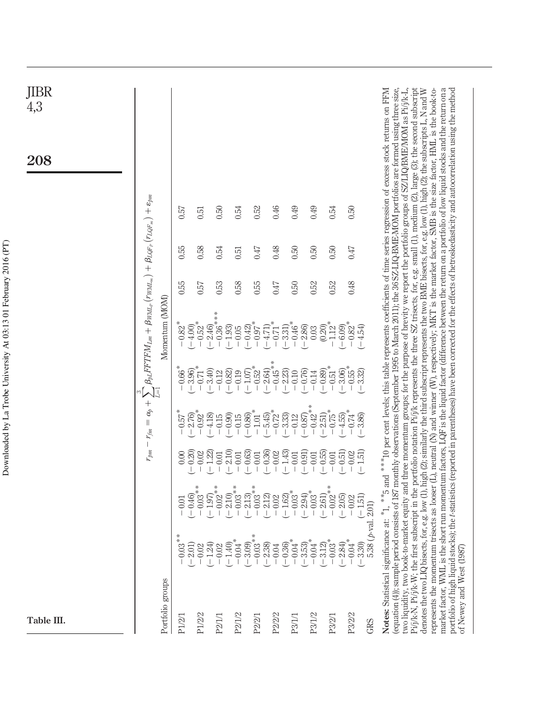| <b>JIBR</b><br>4,3 |                                                                                                                                                            |                      |                                                         |                                                          |                                                                                                                             |                                                 |                                   |                                   |                                             |                                                                                      |                                   |                                                              |                                                                                                                                                                                                                                                                                                                                                                                                                                                                                                                                                                                                                                                                                                                                                                                                                                                                                                                                                                                                                                                                                                                                                                                                                                                                                                                                                                                                 |
|--------------------|------------------------------------------------------------------------------------------------------------------------------------------------------------|----------------------|---------------------------------------------------------|----------------------------------------------------------|-----------------------------------------------------------------------------------------------------------------------------|-------------------------------------------------|-----------------------------------|-----------------------------------|---------------------------------------------|--------------------------------------------------------------------------------------|-----------------------------------|--------------------------------------------------------------|-------------------------------------------------------------------------------------------------------------------------------------------------------------------------------------------------------------------------------------------------------------------------------------------------------------------------------------------------------------------------------------------------------------------------------------------------------------------------------------------------------------------------------------------------------------------------------------------------------------------------------------------------------------------------------------------------------------------------------------------------------------------------------------------------------------------------------------------------------------------------------------------------------------------------------------------------------------------------------------------------------------------------------------------------------------------------------------------------------------------------------------------------------------------------------------------------------------------------------------------------------------------------------------------------------------------------------------------------------------------------------------------------|
| 208                |                                                                                                                                                            |                      |                                                         |                                                          |                                                                                                                             |                                                 |                                   |                                   |                                             |                                                                                      |                                   |                                                              | market factor, WML is the short run momentum factors, LQF is the liquid factor (difference between the return on a portfolio of low liquid stocks and the return on a<br>portfolio of high liquid stocks); the t-statistics (reported in parentheses) have been corrected for the effects of hetroskedasticity and autocorrelation using the method<br>Notes: Statistical significance at: $*1$ , $**1$ and $**10$ per cent levels; this table represents coefficients of time series regression of excess stock returns on FFM<br>(equation (4)); sample period consists of 187 monthly observations (September 1995 to March 2011); the 36 SZ-LIQ-BME-MOM portfolios are formed using three size,<br>to-market equity and three momentum groups; for the purpose of brevity we report the portfolio groups of SZ/LIQ/BME/MOM as Pif/k-L,<br>$P(f/k \cdot N, P(f/k \cdot W;$ the first subscript in the portfolio notation $P(f/k)$ represents the three SZ trisects, for, e.g. small (1), medium (2), large (3); the second subscript<br>denotes the two LIQ bisects, for, e.g. low (1), high (2); similarly the third subscript represents the two BME bisects, for, e.g. low (1), high (2); the subscripts L, N and W<br>represents the momentum trisects as looser $(L)$ , neutral (N) and winner (W), respectively; MKT is the market factor, SMB is the size factor, HML is the book-to- |
|                    |                                                                                                                                                            | 0.57                 | 0.51                                                    | 0.50                                                     | 0.54                                                                                                                        | 0.52                                            | 0.46                              | 0.49                              | 0.49                                        | 0.54                                                                                 | 0.50                              |                                                              |                                                                                                                                                                                                                                                                                                                                                                                                                                                                                                                                                                                                                                                                                                                                                                                                                                                                                                                                                                                                                                                                                                                                                                                                                                                                                                                                                                                                 |
|                    |                                                                                                                                                            | 0.55                 | 0.58                                                    | 0.54                                                     | 0.51                                                                                                                        | 0.47                                            | 0.48                              | 0.50                              | 0.50                                        | 0.50                                                                                 | 0.47                              |                                                              |                                                                                                                                                                                                                                                                                                                                                                                                                                                                                                                                                                                                                                                                                                                                                                                                                                                                                                                                                                                                                                                                                                                                                                                                                                                                                                                                                                                                 |
|                    |                                                                                                                                                            | 0.55                 | 0.57                                                    | 0.53                                                     | 0.58                                                                                                                        | 0.55                                            | 0.47                              | 0.50                              | 0.52                                        | 0.52                                                                                 | 0.48                              |                                                              |                                                                                                                                                                                                                                                                                                                                                                                                                                                                                                                                                                                                                                                                                                                                                                                                                                                                                                                                                                                                                                                                                                                                                                                                                                                                                                                                                                                                 |
|                    | $= \alpha_\rho + \sum_{l=1} \beta_{\rho L} F F T F M_{Lm} + \beta_{WM_{m}} (r_{WM_{m}}) + \beta_{LQ} r_r (r_{LQ} r_{m}) + \epsilon_{pm}$<br>Momentum (MOM) | $-0.82$ <sup>*</sup> | $-0.52$ <sup>*</sup><br>$(-4.00)$                       | $-0.36***$<br>$(-2.46)$                                  | $(-1.93)$<br>$-0.05$                                                                                                        | $-0.97$ *<br>$(-0.42)$                          | $-0.71$ <sup>*</sup><br>$(-4.71)$ | $-0.46$ <sup>*</sup><br>$(-3.31)$ | $-2.86$<br>0.03<br>$\overline{\phantom{a}}$ | $1.12$ $^{\ast}$<br>(0.20)                                                           | $(-6.09)$<br>$-0.82$ <sup>*</sup> | $(-4.54)$                                                    |                                                                                                                                                                                                                                                                                                                                                                                                                                                                                                                                                                                                                                                                                                                                                                                                                                                                                                                                                                                                                                                                                                                                                                                                                                                                                                                                                                                                 |
|                    |                                                                                                                                                            | $-0.66$ <sup>*</sup> | $(-3.96)$<br>$-0.71$ <sup>*</sup>                       | $(-3.40)$<br>$-0.12$                                     | $(-0.82)$<br>$-0.19$                                                                                                        | $(-1.07)$<br>$-0.52$ <sup>*</sup>               | $-0.45**$<br>$(-2.64)$            | $(-2.23)$<br>$-0.10$              | $(-0.76)$<br>$-0.14$                        | $-0.51$ $^{\ast}$<br>$(-0.89)$                                                       | $(-3.06)$<br>$-0.55$ <sup>*</sup> | $(-3.32)$                                                    |                                                                                                                                                                                                                                                                                                                                                                                                                                                                                                                                                                                                                                                                                                                                                                                                                                                                                                                                                                                                                                                                                                                                                                                                                                                                                                                                                                                                 |
|                    |                                                                                                                                                            | $-0.57$ $^{\ast}$    | $-0.92$ <sup>*</sup><br>2.76)<br>Ţ                      | $(-4.18)$<br>$-0.15$                                     | $(-0.90)$<br>$-0.15$                                                                                                        | $\begin{array}{c} (-0.86) \\ -1.01 \end{array}$ | $\frac{-5.45}{-0.72}$ *<br>Ĵ.     | $(-3.33)$<br>$-0.12$              | $-0.42$ **<br>$(-0.87)$                     | $(-2.51)$<br>- 0.75 <sup>*</sup>                                                     | $(-4.55)$<br>- 0.74*              | $(-3.86)$                                                    |                                                                                                                                                                                                                                                                                                                                                                                                                                                                                                                                                                                                                                                                                                                                                                                                                                                                                                                                                                                                                                                                                                                                                                                                                                                                                                                                                                                                 |
|                    | $r_{pm} - r_{fm}$                                                                                                                                          | 0.00                 | $(-0.20)$<br>$-0.02$                                    | $(-1.22)$<br>$-0.01$                                     | $(-2.10)$<br>0.01<br>$\overline{1}$                                                                                         | $(-0.63)$<br>$-0.01$                            | $(-0.36)$<br>$-0.02$              | $(-1.43)$<br>$-0.01$              | $(-0.91)$<br>$-0.01$                        | $(-0.55)$<br>$-0.01$                                                                 | $(-0.51)$<br>$-0.02$              | $(-1.51)$                                                    |                                                                                                                                                                                                                                                                                                                                                                                                                                                                                                                                                                                                                                                                                                                                                                                                                                                                                                                                                                                                                                                                                                                                                                                                                                                                                                                                                                                                 |
|                    |                                                                                                                                                            | $-0.01$              | $-0.03***$<br>$(-0.46)$                                 | $(-1.97)$<br>$-0.02$ **                                  | $(-2.10)$<br>-0.03**                                                                                                        | $(-2.13)$<br>-0.03**                            | $(-2.12)$<br>$-0.02$              | $-0.03*$<br>$(-1.62)$             | $(-2.94)$<br>- 0.03*                        | $-0.02$ **<br>$(-2.61)$                                                              | $(-2.05)$<br>$-0.02$              | $(-1.51)$<br>38 (p-val. 2.01)                                |                                                                                                                                                                                                                                                                                                                                                                                                                                                                                                                                                                                                                                                                                                                                                                                                                                                                                                                                                                                                                                                                                                                                                                                                                                                                                                                                                                                                 |
|                    |                                                                                                                                                            | $.03***$             | $\widehat{c}$<br>$\odot$<br>$\overline{O}$<br>ಂ ನ<br>∣_ | $(-1.24)$<br>$\overline{02}$<br>$\overline{\phantom{0}}$ | $\begin{array}{c} (-1.40)\\[-1.40pt] -0.03\\[-1.40pt] -0.03\\[-1.40pt] -0.03\\[-1.40pt] -0.04\\[-1.40pt] -0.04 \end{array}$ |                                                 |                                   | $(-0.36)$<br>$-0.04$ <sup>*</sup> | $53*$<br>$(-3)$                             | $\begin{array}{c} {18}\\[-4pt] -0.04\\[-4pt] -0.03\\[-4pt] -0.03\\[4pt] \end{array}$ |                                   | $-2.84$<br>$-2.36$<br>$-6.36$<br>$-3.30$<br>$-6.3$<br>$-6.3$ |                                                                                                                                                                                                                                                                                                                                                                                                                                                                                                                                                                                                                                                                                                                                                                                                                                                                                                                                                                                                                                                                                                                                                                                                                                                                                                                                                                                                 |
| Table III.         | Portfolio groups                                                                                                                                           | P1/2/1               | P1/2/2                                                  | P2/1/1                                                   | P2/1/2                                                                                                                      | P2/2/1                                          | P2/2/2                            | P3/1/1                            | P3/1/2                                      | P3/2/1                                                                               | P3/2/2                            | GRS                                                          | of Newey and West (1987)<br>two liquidity, two book-                                                                                                                                                                                                                                                                                                                                                                                                                                                                                                                                                                                                                                                                                                                                                                                                                                                                                                                                                                                                                                                                                                                                                                                                                                                                                                                                            |

Downloaded by La Trobe University At 03:13 01 February 2016 (PT) Downloaded by La Trobe University At 03:13 01 February 2016 (PT)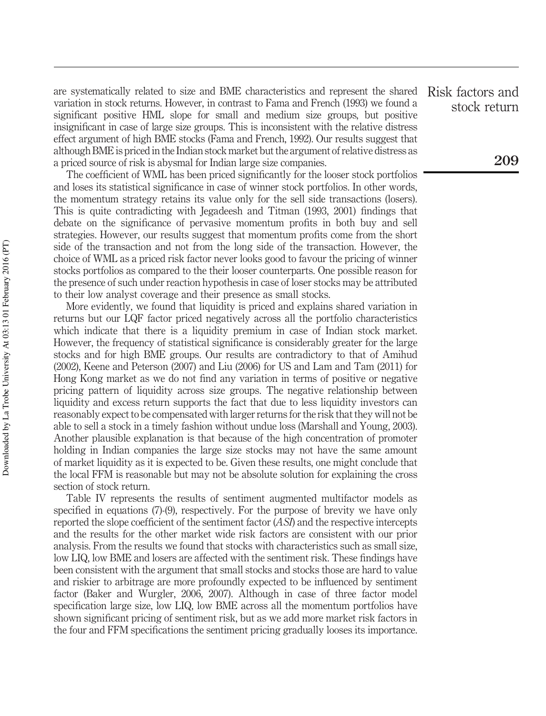are systematically related to size and BME characteristics and represent the shared variation in stock returns. However, in contrast to Fama and French (1993) we found a significant positive HML slope for small and medium size groups, but positive insignificant in case of large size groups. This is inconsistent with the relative distress effect argument of high BME stocks (Fama and French, 1992). Our results suggest that although BME is priced in the Indian stock market but the argument of relative distress as a priced source of risk is abysmal for Indian large size companies.

The coefficient of WML has been priced significantly for the looser stock portfolios and loses its statistical significance in case of winner stock portfolios. In other words, the momentum strategy retains its value only for the sell side transactions (losers). This is quite contradicting with Jegadeesh and Titman (1993, 2001) findings that debate on the significance of pervasive momentum profits in both buy and sell strategies. However, our results suggest that momentum profits come from the short side of the transaction and not from the long side of the transaction. However, the choice of WML as a priced risk factor never looks good to favour the pricing of winner stocks portfolios as compared to the their looser counterparts. One possible reason for the presence of such under reaction hypothesis in case of loser stocks may be attributed to their low analyst coverage and their presence as small stocks.

More evidently, we found that liquidity is priced and explains shared variation in returns but our LQF factor priced negatively across all the portfolio characteristics which indicate that there is a liquidity premium in case of Indian stock market. However, the frequency of statistical significance is considerably greater for the large stocks and for high BME groups. Our results are contradictory to that of Amihud (2002), Keene and Peterson (2007) and Liu (2006) for US and Lam and Tam (2011) for Hong Kong market as we do not find any variation in terms of positive or negative pricing pattern of liquidity across size groups. The negative relationship between liquidity and excess return supports the fact that due to less liquidity investors can reasonably expect to be compensated with larger returns for the risk that they will not be able to sell a stock in a timely fashion without undue loss (Marshall and Young, 2003). Another plausible explanation is that because of the high concentration of promoter holding in Indian companies the large size stocks may not have the same amount of market liquidity as it is expected to be. Given these results, one might conclude that the local FFM is reasonable but may not be absolute solution for explaining the cross section of stock return.

Table IV represents the results of sentiment augmented multifactor models as specified in equations (7)-(9), respectively. For the purpose of brevity we have only reported the slope coefficient of the sentiment factor (*ASI*) and the respective intercepts and the results for the other market wide risk factors are consistent with our prior analysis. From the results we found that stocks with characteristics such as small size, low LIQ, low BME and losers are affected with the sentiment risk. These findings have been consistent with the argument that small stocks and stocks those are hard to value and riskier to arbitrage are more profoundly expected to be influenced by sentiment factor (Baker and Wurgler, 2006, 2007). Although in case of three factor model specification large size, low LIQ, low BME across all the momentum portfolios have shown significant pricing of sentiment risk, but as we add more market risk factors in the four and FFM specifications the sentiment pricing gradually looses its importance.

Risk factors and stock return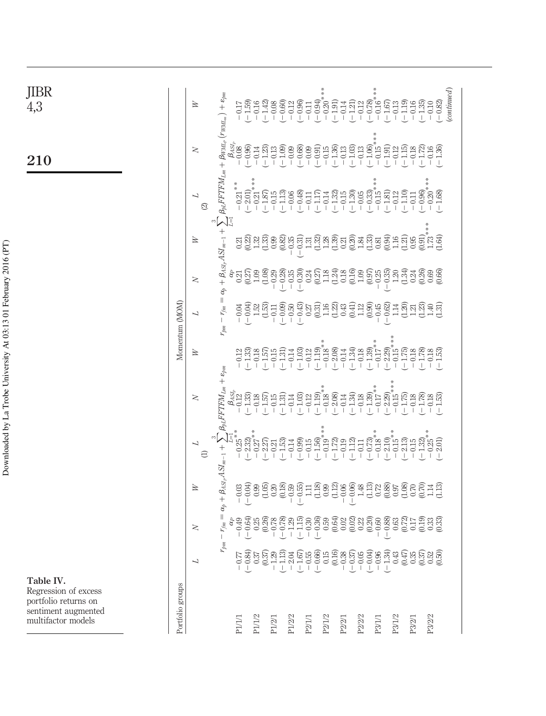| <b>JIBR</b><br>4,3                                                                                     |                  | ∖≢           |                                                                                                         | $-0.17$<br>(-1.59)                            | $-0.16$                                                                             | $(-1.42)$                                              | $-0.08$              | $(-0.60)$<br>$-0.12$                        | $(-0.96)$<br>$-\,0.11$ | $(-0.94)$<br>$-0.20$                                | $\begin{array}{c}(-1.91)\\-0.14\end{array}$                                                                                                                                                                                                                                                                                                                                                                                           | $(-1.21)$                                                                           | $-0.12$                                                                               | $(-0.78)$<br>$-0.16$              | $(-1.67)$                         | $-0.13$<br>$(-1.19)$ | $-0.16$<br>$(-1.35)$              | $-0.10$<br>$(-0.82)$                             | $_{continued}$ |
|--------------------------------------------------------------------------------------------------------|------------------|--------------|---------------------------------------------------------------------------------------------------------|-----------------------------------------------|-------------------------------------------------------------------------------------|--------------------------------------------------------|----------------------|---------------------------------------------|------------------------|-----------------------------------------------------|---------------------------------------------------------------------------------------------------------------------------------------------------------------------------------------------------------------------------------------------------------------------------------------------------------------------------------------------------------------------------------------------------------------------------------------|-------------------------------------------------------------------------------------|---------------------------------------------------------------------------------------|-----------------------------------|-----------------------------------|----------------------|-----------------------------------|--------------------------------------------------|----------------|
| 210                                                                                                    |                  | $\geq$       |                                                                                                         | $-\frac{\beta_{AS_p}}{0.08}$                  | $(-0.96)$<br>$-0.14$                                                                | $(-1.23)$                                              | $-0.13$<br>$(-1.09)$ | $-0.09$                                     | $(-0.68)$<br>$-0.09$   | $(-0.91)$                                           | $-0.15$<br>$(-1.36)$                                                                                                                                                                                                                                                                                                                                                                                                                  | $-0.13$<br>$(-1.03)$                                                                | $(-1.06)$<br>$-0.13$                                                                  | ₩<br>₩<br>$-0.15$                 | $(-1.91)$<br>$-0.12$              | $(-1.15)$            | $-0.18$<br>$(-1.72)$              | $-0.16$<br>$(-1.36)$                             |                |
|                                                                                                        |                  | ┙<br>$\odot$ | $\beta_{pL}$ FFTFM <sub>Lm</sub> + $\beta$ wM <sub>P</sub> ( $r$ wM <sub>m</sub> ) + $\varepsilon_{pm}$ | $-0.21$ **                                    | $(-2.01)$<br>$-0.21$ <sup>**</sup>                                                  | $(-1.87)$                                              | $-0.15$              | $(-1.13)$<br>$-0.06$                        | $(-0.48)$<br>$-0.11$   | $(-1.17)$<br>$-0.14$                                |                                                                                                                                                                                                                                                                                                                                                                                                                                       | $\begin{array}{c} (-1.32) \\[-4pt] -0.15 \\[-4pt] -1.30 \\[-4pt] -0.05 \end{array}$ | $(-0.33)$                                                                             | **<br>$-0.15$ <sup>2</sup>        | $(-1.81)$<br>$-0.12$              | $(-1.10)$            | $(-0.96)$<br>$-0.11$              | ₩<br>$-0.20$ <sup>*</sup><br>$(-1.68)$           |                |
|                                                                                                        |                  | ∖≊           | $\sum_{i=1}^{n}$                                                                                        |                                               | 1<br>2 3 3 3 3 9 3 5<br>2 9 3 3 9 3 9                                               |                                                        |                      |                                             | $-0.31)$               |                                                     |                                                                                                                                                                                                                                                                                                                                                                                                                                       |                                                                                     |                                                                                       |                                   |                                   |                      |                                   | rang<br>1988 Bangan Bangan<br>1988 Bangan Bangan |                |
|                                                                                                        |                  | z            |                                                                                                         |                                               | ಕಿಸ್ತರ<br>ಕಿನ್ನಲ್ಲಿ                                                                 | (1.08)                                                 |                      | $(-0.28)$<br>$-0.35$                        | $(-0.30)$<br>0.24      |                                                     | euro<br>Cugado<br>Cugado                                                                                                                                                                                                                                                                                                                                                                                                              |                                                                                     |                                                                                       | $-0.35$                           | $(-0.35)$<br>1.20                 | (1.34)               | (0.26)<br>0.24                    | (0.66)<br>0.69                                   |                |
|                                                                                                        | Momentum (MOM)   | ⊣            | $r_{pm} - r_{fm} = \alpha_p + \beta_{ASI_p} ASI_{m-1} +$                                                | $-0.04$                                       | $(-0.04)$                                                                           | $\begin{array}{c} 1.52 \\ (1.53) \\ -0.11 \end{array}$ |                      | $(-0.09)$<br>$-0.50$                        |                        |                                                     | $\begin{array}{c} (-0.43) \\[-4pt] -0.31 \\[-4pt] -0.31 \\[-4pt] -0.31 \\[-4pt] -0.31 \\[-4pt] -0.31 \\[-4pt] -0.31 \\[-4pt] -0.31 \\[-4pt] -0.31 \\[-4pt] -0.31 \\[-4pt] -0.31 \\[-4pt] -0.31 \\[-4pt] -0.32 \\[-4pt] -0.33 \\[-4pt] -0.33 \\[-4pt] -0.33 \\[-4pt] -0.33 \\[-4pt] -0.33 \\[-4pt] -0.33 \\[-4pt] -0.33 \\[-4pt] -0.33 \\[-4pt] -0$                                                                                    |                                                                                     |                                                                                       |                                   |                                   |                      | $13848$<br>1018                   | (1.31)<br>1.40                                   |                |
|                                                                                                        |                  | ≊            |                                                                                                         | $-0.12$                                       | $(-1.33)$<br>$-0.18$<br>$(-1.57)$                                                   |                                                        | $-0.15$              | $(-1.31)$<br>$-0.14$                        | $(-1.03)$<br>$-0.12$   | $-0.18**$<br>$(-1.19)$                              | $(-2.08)$<br>$-0.14$                                                                                                                                                                                                                                                                                                                                                                                                                  |                                                                                     | $(-1.34)$<br>$-0.18$<br>$(-1.39)$<br>$-0.17$ <sup>*</sup>                             |                                   | $(-2.29)$<br>$-0.15$ <sup>2</sup> | $(-1.75)$<br>$-0.18$ | $(-1.78)$                         | $-0.18$<br>$(-1.53)$                             |                |
|                                                                                                        |                  | z            |                                                                                                         |                                               | $\begin{array}{r} \beta_{AS_r'} \\ -0.12 \\ (-1.33) \\ -0.18 \end{array}$           | $(-1.57)$                                              | $-0.15$              | $(-1.31)$<br>$-0.14$                        | $(-1.03)$<br>$-0.12$   | $(-1.19)$                                           | $-0.18$<br>$(-2.08)$<br>$-0.14$                                                                                                                                                                                                                                                                                                                                                                                                       | $(-1.34)$                                                                           | $-0.18$                                                                               | $(-1.39)$<br>$-0.17$ <sup>*</sup> | ₩<br>$(-2.29)$<br>$-0.15$         | $(-1.75)$            | $-0.18$<br>$(-1.78)$              | $-0.18$<br>$(-1.53)$                             |                |
|                                                                                                        |                  | $\ominus$    | $= \alpha_\theta + \beta_{ASI_P} ASI_{m-1} + \sum \beta_{\beta L} F T I^c M_{Lm} + \epsilon_{\beta m}$  | $\begin{array}{c} -0.25 \\ -0.25 \end{array}$ | $\begin{array}{l} (-2.32) \\ -0.27 \end{array}$ **<br>Ü                             | $\begin{array}{c} (-2.27) \\ -0.21 \end{array}$<br>Ü   |                      | $(-1.53)$<br>$-0.14$                        | $(-0.99)$<br>$-0.15$   | $(-1.56)$<br>$-0.19$ <sup>2</sup>                   | $\begin{array}{c} (-1.72) \\ -0.19 \\ (-1.12) \end{array}$                                                                                                                                                                                                                                                                                                                                                                            |                                                                                     | $(-0.73)$<br>$-\,0.11$                                                                | $*$<br>$-0.18$ <sup>2</sup>       | $-0.15**$<br>$(-2.10)$            | 2.13)<br>L           | $(-1.32)$<br>0.15<br>$\mathbb{I}$ | 2.01)<br>0.25<br>⊥                               |                |
|                                                                                                        |                  | ≋            |                                                                                                         | $-0.03$<br>$(-0.04)$                          |                                                                                     | $0.99$<br>$0.50$<br>$0.20$                             |                      | (0.18)                                      | $(-0.55)$              | $\begin{array}{c} 1.11 \\ -1.8 \\ 0.99 \end{array}$ | $\underset{-0.06}{\overset{(1.12)}}$                                                                                                                                                                                                                                                                                                                                                                                                  |                                                                                     | $\begin{array}{c} (-0.06) \\[-4pt] -0.48 \\[-4pt] (-0.30) \\[-4pt] -0.72 \end{array}$ |                                   | (0.88)<br>0.97                    | (1.08)               | (0.70)                            | $1.14$<br>$(1.13)$                               |                |
|                                                                                                        |                  | z            | $-r_{fm}$                                                                                               | $\alpha_P$<br>$-0.49$                         | $\begin{array}{c} (-0.64) \\[-4pt] -0.25 \\[-4pt] 0.26) \\[-4pt] -0.78 \end{array}$ |                                                        |                      | $\begin{array}{c}(-0.78)\\-1.29\end{array}$ | $(-1.15)$<br>$-0.30$   |                                                     | $\begin{array}{l} \left( \begin{array}{c} 0.76 \\ 0.08 \\ 0.02 \end{array} \right) \left( \begin{array}{c} 0.76 \\ 0.02 \\ 0.02 \end{array} \right) \left( \begin{array}{c} 0.76 \\ 0.02 \\ 0.02 \end{array} \right) \left( \begin{array}{c} 0.76 \\ 0.02 \\ 0.02 \end{array} \right) \left( \begin{array}{c} 0.76 \\ 0.02 \end{array} \right) \left( \begin{array}{c} 0.76 \\ 0.02 \end{array} \right) \left( \begin{array}{c} 0.76$ |                                                                                     |                                                                                       |                                   |                                   |                      |                                   | $\begin{array}{c} 0.33 \\ 0.33 \end{array}$      |                |
|                                                                                                        |                  | L            | ud,                                                                                                     |                                               | $-0.37$<br>$750$<br>$-0.37$<br>$750$<br>$-1.7$<br>$750$                             |                                                        |                      | $(-1.13)$<br>$-2.04$<br>$(-1.67)$           |                        |                                                     | $\begin{array}{r} -0.55 \\ -0.66 \\ -0.15 \\ 0.19 \\ -0.38 \\ -0.38 \end{array}$                                                                                                                                                                                                                                                                                                                                                      |                                                                                     | 1983년<br>2009년<br>2009년                                                               |                                   |                                   |                      |                                   |                                                  |                |
| Table IV.<br>Regression of excess<br>portfolio returns on<br>sentiment augmented<br>multifactor models | Portfolio groups |              |                                                                                                         | P1/1/1                                        | P1/1/2                                                                              |                                                        | P1/2/2               | P1/2/2                                      | P2/1/1                 | P2/1/2                                              | P2/2/1                                                                                                                                                                                                                                                                                                                                                                                                                                |                                                                                     | P2/2/2                                                                                | P3/1/1                            | P3/1/2                            |                      | P3/2/1                            | P3/2/2                                           |                |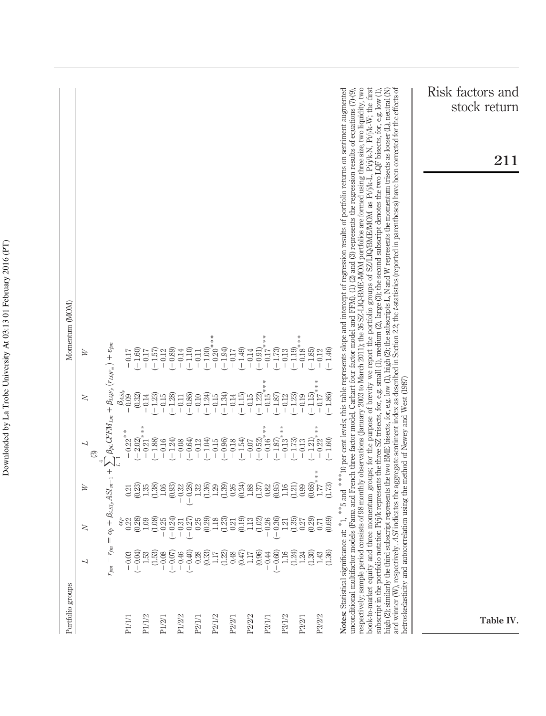| l                             |
|-------------------------------|
| í                             |
|                               |
| ۱<br>I                        |
|                               |
| l                             |
|                               |
| ֡֡֡֡֡֡֡<br>ì<br>í             |
| l                             |
| l                             |
| í                             |
| l                             |
| $\overline{\phantom{a}}$<br>I |
|                               |
|                               |
|                               |
| ţ                             |

| Portfolio groups |                              |                             |                                     |                                                                                                                       |                                 | Momentum (MOM)                                    |                                                                                                                                                                                                                                                                                                                                                                                                                                                                                                                                                                                                                                                                                                                                                                   |
|------------------|------------------------------|-----------------------------|-------------------------------------|-----------------------------------------------------------------------------------------------------------------------|---------------------------------|---------------------------------------------------|-------------------------------------------------------------------------------------------------------------------------------------------------------------------------------------------------------------------------------------------------------------------------------------------------------------------------------------------------------------------------------------------------------------------------------------------------------------------------------------------------------------------------------------------------------------------------------------------------------------------------------------------------------------------------------------------------------------------------------------------------------------------|
|                  | L                            | 2                           | ≋                                   | ම                                                                                                                     | 2                               | ∖≢                                                |                                                                                                                                                                                                                                                                                                                                                                                                                                                                                                                                                                                                                                                                                                                                                                   |
|                  | $r_{pm} - r_{fm}$            |                             |                                     | $\alpha_{\phi} + \beta_{ASP_{r}}ASI_{m-1} + \sum \beta_{\rho L}CFFM_{Lm} + \beta_{LQF_{P}}(r_{LQF_{m}}) + e_{\rho m}$ |                                 |                                                   |                                                                                                                                                                                                                                                                                                                                                                                                                                                                                                                                                                                                                                                                                                                                                                   |
| <b>P1/1/1</b>    |                              | $\alpha_P$<br>0.22          | 0.21                                | $-0.22$ <sup>**</sup>                                                                                                 | $-\frac{\beta_{ASI_{P}}}{0.09}$ | $-0.17$                                           |                                                                                                                                                                                                                                                                                                                                                                                                                                                                                                                                                                                                                                                                                                                                                                   |
| P1/1/2           |                              | $(0.28)$<br>1.09            | (0.23)<br>1.35                      | $-0.21$ <sup>***</sup><br>$(-2.02)$                                                                                   | (0.32)<br>$-0.14$               | $(-1.60)$<br>$-0.17$                              |                                                                                                                                                                                                                                                                                                                                                                                                                                                                                                                                                                                                                                                                                                                                                                   |
| P1/2/1           |                              | (1.08)<br>$-0.25$           | 1.06<br>1.38                        | $(-1.88)$<br>$-0.16$                                                                                                  | $-1.23$<br>$-0.15$              | $-1.57$<br>$-0.12$                                |                                                                                                                                                                                                                                                                                                                                                                                                                                                                                                                                                                                                                                                                                                                                                                   |
| P1/2/2           |                              | $-0.24$<br>$-0.31$          | (0.93)<br>$-0.32$                   | $-1.24$<br>$-0.08$                                                                                                    | $-1.28$<br>$-0.11$              | $(-0.89)$<br>$-0.14$                              |                                                                                                                                                                                                                                                                                                                                                                                                                                                                                                                                                                                                                                                                                                                                                                   |
| P2/1/1           |                              | $(-0.27)$<br>0.25           | $(-0.28)$<br>1.32                   | $-0.64$<br>$-0.12$                                                                                                    | $-0.86$<br>$-0.10$              | $(-1.10)$<br>$(-0.11$<br>$(-1.00)$<br>$(-0.20)^*$ |                                                                                                                                                                                                                                                                                                                                                                                                                                                                                                                                                                                                                                                                                                                                                                   |
| P2/1/2           |                              | $(0.29)$<br>1.18            | (1.36)<br>1.29                      | $(-1.04)$<br>$-0.15$                                                                                                  | $-1.24$<br>$-0.15$              |                                                   |                                                                                                                                                                                                                                                                                                                                                                                                                                                                                                                                                                                                                                                                                                                                                                   |
| P2/2/1           |                              | (1.23)<br>0.21              | (1.39)<br>0.26                      | $(-0.96)$<br>$-0.18$                                                                                                  | $(-1.34)$<br>$-0.14$            | $(-1.94)$<br>$-0.17$                              |                                                                                                                                                                                                                                                                                                                                                                                                                                                                                                                                                                                                                                                                                                                                                                   |
| P2/2/2           |                              | (0.19)<br>1.13              | (0.24)<br>1.88                      | $(-1.54)$<br>$-0.07$                                                                                                  | $(-1.15)$<br>$-0.15$            | $(-1.49)$<br>$-0.14$                              |                                                                                                                                                                                                                                                                                                                                                                                                                                                                                                                                                                                                                                                                                                                                                                   |
| P3/1/1           |                              | (1.02)<br>0.26              | (1.37)<br>0.82                      | $-0.16***$<br>$(-0.52)$                                                                                               | $-0.15***$<br>$(-1.22)$         | $-0.17***$<br>$(-0.91)$                           |                                                                                                                                                                                                                                                                                                                                                                                                                                                                                                                                                                                                                                                                                                                                                                   |
| P3/1/2           |                              | $-0.36$                     | (0.95)<br>1.16                      | $-0.13***$<br>$(-1.87)$                                                                                               | $(-1.87)$<br>$-0.12$            | $(-1.73)$<br>$-0.13$                              |                                                                                                                                                                                                                                                                                                                                                                                                                                                                                                                                                                                                                                                                                                                                                                   |
| P3/2/1           | $13489$<br>$13489$<br>$1348$ | $1.21$<br>$(1.35)$<br>0.27  | 1.21)<br>0.99                       | $(-1.73)$<br>$-0.13$                                                                                                  | $(-1.23)$<br>$-0.19$            | $-0.18$ <sup>****</sup><br>$(-1.19)$              |                                                                                                                                                                                                                                                                                                                                                                                                                                                                                                                                                                                                                                                                                                                                                                   |
|                  |                              |                             | (0.68)                              | $(-1.21)$                                                                                                             | $(-1.15)$                       | $(-1.85)$                                         |                                                                                                                                                                                                                                                                                                                                                                                                                                                                                                                                                                                                                                                                                                                                                                   |
| P3/2/2           | (1.36)                       | $\binom{1}{0.20}$<br>(0.69) | $1.77^{\ast\ast\ast\ast}$<br>(1.73) | $-0.22***$<br>$(-1.60)$                                                                                               | $-0.17$ ***<br>$(-1.86)$        | $(-1.46)$<br>$-0.12$                              |                                                                                                                                                                                                                                                                                                                                                                                                                                                                                                                                                                                                                                                                                                                                                                   |
|                  |                              |                             |                                     |                                                                                                                       |                                 |                                                   | respectively; sample period consists of 98 monthly observations (January 2003 to March 2011); the 36 SZ-LIQ-BME-MOM portfolios are formed using three size, two liquidity, two<br>unconditional multifactor models (Fama and French three factor model, Carhart four factor model and FFM). (1) (2) and (3) represents the regression results of equations (7)-(9),<br>Notes: Statistical significance at: $\frac{*}{1}$ , $\frac{*}{*}$ , $\frac{*}{2}$ and $\frac{*}{*}$ , $\frac{*}{10}$ per cent levels; this table represents slope and intercept of regression results of portfolio returns on sentiment augmented<br>halt to word to and these monoments more for the monoco of humits we are the contributions of COUDAIDAION a Diffile Diffile The first |

book-to-market equity and three momentum groups; for the purpose of brevity we report the portfolio groups of SZ/LIQ/BME/MOM as Pl/jk-L, Pi/j/k-N, Pi/jk-N, the first<br>subscript in the portfolio notation Pi/jk represents the and winner (W), respectively. *ASI* indicates the aggregate sentiment index as described in Section 2.2; the *t*-statistics (reported in parentheses) have been corrected for the effects of book-to-market equity and three momentum groups; for the purpose of brevity we report the portfolio groups of SZ/LIQ/BME/MOM as Pi/j/k-L, Pi/j/k-N, Pi/j/k-W; the first subscript in the portfolio notation Pi/j/k represents the three SZ trisects, for, e.g. small (1), medium (2), the second subscript denotes the two LQF bisects, for, e.g. low (1), high (2); similarly the third subscript represents the two BME bisects, for, e.g. low (1), high (2); the subscripts L, N and W represents the momentum trisects as looser (L), neutral (N) hetroskedasticity and autocorrelation using the method of Newey and West (1987)

Risk factors and stock return

211

Table IV.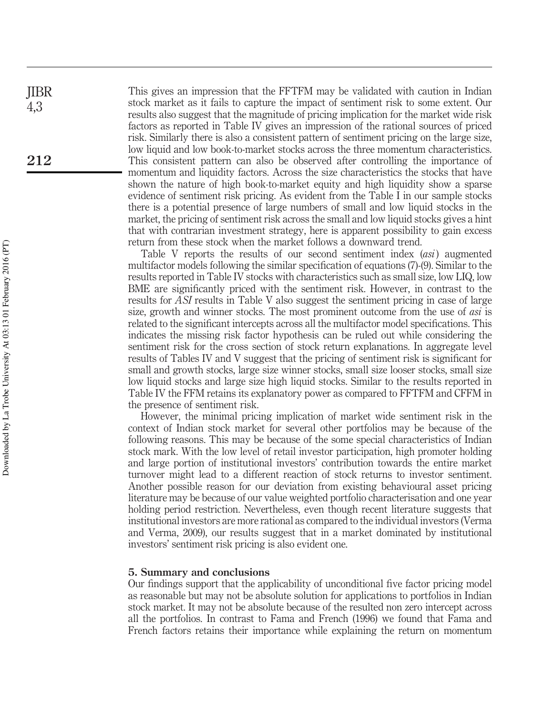This gives an impression that the FFTFM may be validated with caution in Indian stock market as it fails to capture the impact of sentiment risk to some extent. Our results also suggest that the magnitude of pricing implication for the market wide risk factors as reported in Table IV gives an impression of the rational sources of priced risk. Similarly there is also a consistent pattern of sentiment pricing on the large size, low liquid and low book-to-market stocks across the three momentum characteristics. This consistent pattern can also be observed after controlling the importance of momentum and liquidity factors. Across the size characteristics the stocks that have shown the nature of high book-to-market equity and high liquidity show a sparse evidence of sentiment risk pricing. As evident from the Table I in our sample stocks there is a potential presence of large numbers of small and low liquid stocks in the market, the pricing of sentiment risk across the small and low liquid stocks gives a hint that with contrarian investment strategy, here is apparent possibility to gain excess return from these stock when the market follows a downward trend.

Table V reports the results of our second sentiment index (*asi* ) augmented multifactor models following the similar specification of equations (7)-(9). Similar to the results reported in Table IV stocks with characteristics such as small size, low LIQ, low BME are significantly priced with the sentiment risk. However, in contrast to the results for *ASI* results in Table V also suggest the sentiment pricing in case of large size, growth and winner stocks. The most prominent outcome from the use of *asi* is related to the significant intercepts across all the multifactor model specifications. This indicates the missing risk factor hypothesis can be ruled out while considering the sentiment risk for the cross section of stock return explanations. In aggregate level results of Tables IV and V suggest that the pricing of sentiment risk is significant for small and growth stocks, large size winner stocks, small size looser stocks, small size low liquid stocks and large size high liquid stocks. Similar to the results reported in Table IV the FFM retains its explanatory power as compared to FFTFM and CFFM in the presence of sentiment risk.

However, the minimal pricing implication of market wide sentiment risk in the context of Indian stock market for several other portfolios may be because of the following reasons. This may be because of the some special characteristics of Indian stock mark. With the low level of retail investor participation, high promoter holding and large portion of institutional investors' contribution towards the entire market turnover might lead to a different reaction of stock returns to investor sentiment. Another possible reason for our deviation from existing behavioural asset pricing literature may be because of our value weighted portfolio characterisation and one year holding period restriction. Nevertheless, even though recent literature suggests that institutional investors are more rational as compared to the individual investors (Verma and Verma, 2009), our results suggest that in a market dominated by institutional investors' sentiment risk pricing is also evident one.

#### 5. Summary and conclusions

Our findings support that the applicability of unconditional five factor pricing model as reasonable but may not be absolute solution for applications to portfolios in Indian stock market. It may not be absolute because of the resulted non zero intercept across all the portfolios. In contrast to Fama and French (1996) we found that Fama and French factors retains their importance while explaining the return on momentum

JIBR 4,3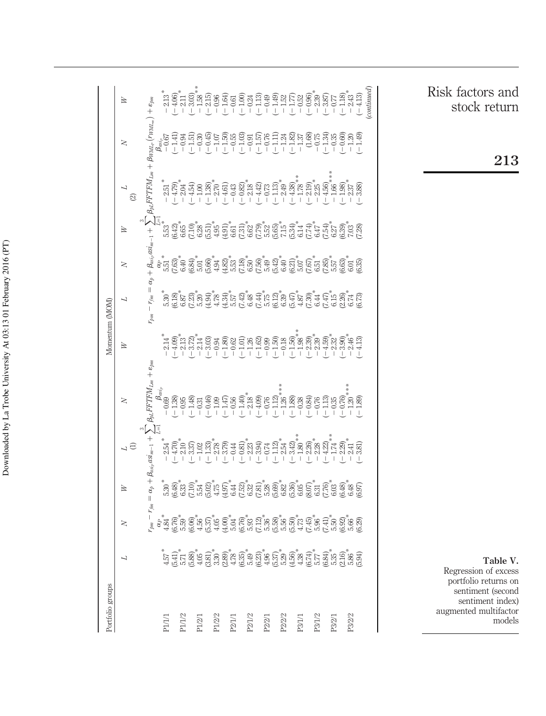P1/2/1 4.05 4.05 5.54 5.54  $-1.02$   $-2.14$   $-2.14$   $-2.14$   $-2.14$   $-2.14$   $-2.14$   $-2.00$   $-1.08$   $-1.58$   $-1.58$  $\begin{array}{c} 1.3 \\ -2.13 \\ -4.06 \\ -2.11 \\ -3.03 \\ -1.59 \\ -1.59 \\ -1.09 \\ -1.04 \\ -1.04 \\ -1.05 \\ -1.05 \\ -1.05 \\ -1.05 \\ -1.05 \\ -1.05 \\ -1.05 \\ -1.05 \\ -1.05 \\ -1.05 \\ -1.05 \\ -1.05 \\ -1.05 \\ -1.05 \\ -1.05 \\ -1.05 \\ -1.05 \\ -1.05 \\ -1.05 \\ -1.05 \\ -1.05 \\ -1.05 \\ -1.05 \\ -1.05 \\ -1.05 \\ -1.0$ (*continued*)  $\begin{array}{l} \textcircled{\small 1} \\ \textcircled{\small 2} \\ \textcircled{\small 3} \\ \textcircled{\small 4} \\ \textcircled{\small 5} \\ \textcircled{\small 6} \\ \textcircled{\small 7} \\ \textcircled{\small 8} \\ \textcircled{\small 9} \\ \textcircled{\small 9} \\ \textcircled{\small 1} \\ \textcircled{\small 1} \\ \textcircled{\small 1} \\ \textcircled{\small 1} \\ \textcircled{\small 1} \\ \textcircled{\small 1} \\ \textcircled{\small 1} \\ \textcircled{\small 1} \\ \textcircled{\small 1} \\ \textcircled{\small 1} \\ \textcircled{\small 1} \\ \textcirc$ P1/1/1 4.87 4.84 5.30 5.30 - 0.69 2.54 5.30 5.51 5.51 5.51 5.53 P1/1/2 5.71 5.59 6.33 6.33 - 21.0 = 21.0 6.40 6.40 6.40 6.65 × 22.10 - 2.11 5.71 = 2.11  $P3/1/2$   $5.77^*$   $5.96^*$   $6.31^*$   $-2.28^*$   $-0.76$   $-2.29^*$   $6.44^*$   $6.51^*$   $6.47^*$   $-2.25^*$   $-2.55$   $-2.39^*$  $P3/2/2$   $P3/3$   $P4.8$   $P4.8$   $P4.43$   $P1.241$   $P1.20$   $P4.46$   $P1.20$   $P1.20$   $P1.20$   $P1.20$   $P1.37$   $P1.20$ (5.76) (5.79) (17.71) (17.70) (20.79) (20.70) (20.70) (20.79) (20.79) (20.79) (20.79) (20.79) (20.79) (20.79) ( (5005 - (1911 - (1914 - 1911) (01.2) (1939) (182.2) (1912) (1911) (1912) (1912) (1912) (1910) (1910)  $(30.81)$   $(370)$   $(370)$   $(38.1)$   $(19.9)$   $(36.9)$   $(36.9)$   $(36.9)$   $(36.9)$   $(37.9)$   $(37.9)$   $(37.9)$   $(27.9)$   $(27.9)$ (2011—) (19.71—) (19.7+—) (16.75) (28.77) (78.79) (2011—) (2.71.5—) (6.21.5—) (2.671) (6.82) (6.82) (60T – (60T – (638) (32.0 – (162,00 – (162,00 – (162,00 – (162,00 – (162,00 – (162,00 – (162,00 – (162,00 – (1<br>Семер (162,00 – 162,00 – 162,00 – 162,00 – 162,00 – (162,00 – 162,00 – 162,00 – 163,00 – 162,00 – 162,00 – 162 (6.21 – (1.921 – 1.92.09) (1.92.09) (2012 (7.94.09) (2011 (2014) (2014 (7.68) (7.62.09) (201.12) (20<br>(2012 – 2021 (2021 – 2022 (2021 – 2022 (2022 – 2022 – 2022 (2022 – 2022 – 2022 – 2022 – 2022 – 2022 – 2022 – 2 (5.58) (5.58) (5.59) (5.59) (5.59) (5.59) (5.59) (5.59) (5.50) (5.50) (5.50) (5.50) (5.50) (5.50) (5.50) (5.59<br>[5.57] (5.57] (5.57] (5.50) (5.50) (5.50) (5.50) (5.50) (5.50) (5.50) (5.50) (5.50) (5.50) (5.50) (5.50) (5.50 (2.57) (18.50) (19.50) (19.50) (19.50) (19.50) (23.50) (21.57) (21.57) (21.77) (21.77) (20.50) (20.50) (20.50) (660) (8.07) (6.72.1) (5.12.26) (20.27) (8.27) (7.672) (7.474) (7.901) (20.312.19) (7.92.26) (7.74) ( (6.87) (7.71) (7.94) (7.41) (7.94) (7.88, (24.59) (7.41) (23.84) (23.87) (23.87) (7.41) (201.70 (23.  $(\mathrm{C}2\mathrm{C}1\mathrm{C})\qquad \qquad (\mathrm{C}3\mathrm{C})\qquad \qquad (\mathrm{C}3\mathrm{C})\qquad \qquad (\mathrm{C}3\mathrm{C})\qquad \qquad (\mathrm{C}3\mathrm{C})\qquad \qquad (\mathrm{C}3\mathrm{C})\qquad \qquad (\mathrm{C}3\mathrm{C})\qquad \qquad (\mathrm{C}3\mathrm{C})\qquad \qquad (\mathrm{C}3\mathrm{C})\qquad \qquad (\mathrm{C}3\mathrm{C})\qquad \qquad (\mathrm{C}3\mathrm{C})\qquad \qquad (\mathrm{C}3\mathrm{C})\qquad \qquad (\mathrm{C}3\mathrm{C$ (5.77+) (6.71-) (68.81-) (6.87.12) (6.87.13) (6.21.99) (6.71.7+) (6.87.1-) (1.88-1-) (1.26.9) (6.27.9) (1.29.9  $\geq$ P1/2/2 3.30 \* 4.05 \* 4.75 \* 22.78 \* 21.09 20.94 4.78 \* 4.94 \* 4.95 \* 22.70 \* 21.07 20.96 P2/1/1 4.78 \* 5.04 \* 6.44 \* 20.44 20.56 20.62 5.57 \* 5.53 \* 6.61 \* 20.43 20.55 20.61  $P2/1/2$  5.93  $^*$  5.92<sup>\*</sup>  $-2.23$ <sup>\*</sup>  $-2.18$ <sup>\*</sup>  $-6.49$ <sup>\*</sup>  $6.49$ <sup>\*</sup>  $6.50$ <sup>\*</sup>  $6.62$ <sup>\*</sup>  $-2.18$ <sup>\*</sup> P2/2/1 4.96 \* 5.36 \* 5.28 \* 20.74 20.76 20.99 5.75 \* 5.49 \* 5.52 \* 20.73 20.76 20.49 P2/2/2 5.29 5.56 5.56 6.82 + 2.54 21.26 6.39 6.39 6.39 6.39 0.40  $-1.52$   $-1.52$   $-1.52$ P3/1/1 4.38 \* 4.73 \* 6.05 \* 21.80 \* \* 20.38 21.98 \* \* 4.87 \* 5.07 \* 6.14 \* 21.78 \* \* 21.37 20.52 P3/2/1 5.35\* 5.50\* 6.03\* -1.74\*\* 0.35 -1.32\* 5.57\* 5.57\* 6.27\* -1.66\*\*\* 5.57 5.57 *L*<br>*L*<br>*M*<br>*M*<br>*M*<br>*M*<br>*M*  þ 1*pm*  $\beta_{pL}$ FFTF $M_{Lm}+\beta$  wh $^{p}_{\alpha}$ r $^{p}_{\alpha}$   $(r_{WM_{m}})$  $\begin{array}{l} \mathcal{L}_1 \subset \mathcal{L}_2 \subset \mathcal{L}_3 \subset \mathcal{L}_4 \subset \mathcal{L}_5 \subset \mathcal{L}_6 \subset \mathcal{L}_7 \subset \mathcal{L}_7 \subset \mathcal{L}_8 \subset \mathcal{L}_7 \subset \mathcal{L}_8 \subset \mathcal{L}_7 \subset \mathcal{L}_8 \subset \mathcal{L}_7 \subset \mathcal{L}_8 \subset \mathcal{L}_7 \subset \mathcal{L}_7 \subset \mathcal{L}_8 \subset \mathcal{L}_8 \subset \mathcal{L}_7 \subset \mathcal{L}_7 \subset \mathcal{L}_7 \subset \mathcal{L}_8 \subset \mathcal{L}_$  $\geq$ apple are able at a basic and a basic and a basic and a basic and a basic and a basic and a basic and a basic and a basic and a basic and a basic and a basic and a basic and a basic and a basic and a basic and a basic an  $\begin{array}{l} \overset{*}{\mathbf{L}}\mathbf{S}_{1}^{*}\mathbf{S}_{2}^{*}\mathbf{S}_{3}^{*}\mathbf{S}_{4}^{*}\mathbf{S}_{5}^{*}\mathbf{S}_{6}^{*}\mathbf{S}_{7}^{*}\mathbf{S}_{8}^{*}\mathbf{S}_{9}^{*}\mathbf{S}_{9}^{*}\mathbf{S}_{9}^{*}\mathbf{S}_{9}^{*}\mathbf{S}_{9}^{*}\mathbf{S}_{9}^{*}\mathbf{S}_{9}^{*}\mathbf{S}_{9}^{*}\mathbf{S}_{9}^{*}\mathbf{S}_{9}^{*}\mathbf{S}_{9}^{*}\mathbf{S}_{9}^{*}\math$ L  $\odot$  $(1)$ ື่⊳ *L*¼1  $\geq$  $\beta_{p}$ *L***F***FTFM*<sub>*Lm*</sub> +  $\varepsilon_{pm}$ <br>*r*<sub>pm</sub> = *r*<sub>jm</sub> =  $\alpha_p$  +  $\beta_{\alpha s i_p} a s s_{m-1}$  +  $\begin{array}{l} \mathfrak{d}_{\text{I}\widetilde{G}}\left(\widetilde{G}\right)_{\text{G}}\widetilde{G}\right)_{\text{G}}\left(\widetilde{G}\right)_{\text{G}}\left(\widetilde{G}\right)_{\text{G}}\left(\widetilde{G}\right)_{\text{G}}\left(\widetilde{G}\right)_{\text{G}}\left(\widetilde{G}\right)_{\text{G}}\left(\widetilde{G}\right)_{\text{G}}\left(\widetilde{G}\right)_{\text{G}}\left(\widetilde{G}\right)_{\text{G}}\left(\widetilde{G}\right)_{\text{G}}\left(\widetilde{G}\right$  $\geq$ مَّةٌ هُمَّةٌ وَ مَنْ لَا مَعْ اللَّهُ عَنْهُمْ عَنْهُمْ عَنْهُمْ عَنْهُمْ عَنْهُمْ عَنْهُمْ عَنْهُ<br>مَّا هُوَ اللَّهُ وَ اللَّهُ عَنْهُمْ عَنْهُمْ عَنْهُمْ عَنْهُمْ عَنْهُمْ عَنْهُمْ وَ عَنْهُمْ عَنْهُمْ عَنْهُ<br>مَّا هُمَ  $\overline{L}$ Momentum (MOM) Portfolio groups Momentum (MOM)  $\begin{array}{l} \n ^{*}_{\mathbf{1}}\oplus \mathbb{S}^{*}_{\mathbf{1}}\boxtimes \mathbb{S}^{*}_{\mathbf{1}}\boxtimes \mathbb{S}^{*}_{\mathbf{1}}\boxtimes \mathbb{S}^{*}_{\mathbf{1}}\boxtimes \mathbb{S}^{*}_{\mathbf{1}}\boxtimes \mathbb{S}^{*}_{\mathbf{1}}\boxtimes \mathbb{S}^{*}_{\mathbf{1}}\boxtimes \mathbb{S}^{*}_{\mathbf{1}}\boxtimes \mathbb{S}^{*}_{\mathbf{1}}\boxtimes \mathbb{S}^{*}_{\mathbf{1}}\boxtimes \mathbb{S}^{*}_{\mathbf{1}}\boxtimes \$  $\cong$ °<sup>L</sup>  $r_{pm} - r_{fin} = \alpha_p + \beta_{axis} \alpha_{2n-1} +$ 

Risk factors and stock return

213

Table V. Regression of excess portfolio returns on sentiment (second sentiment index) augmented multifactor models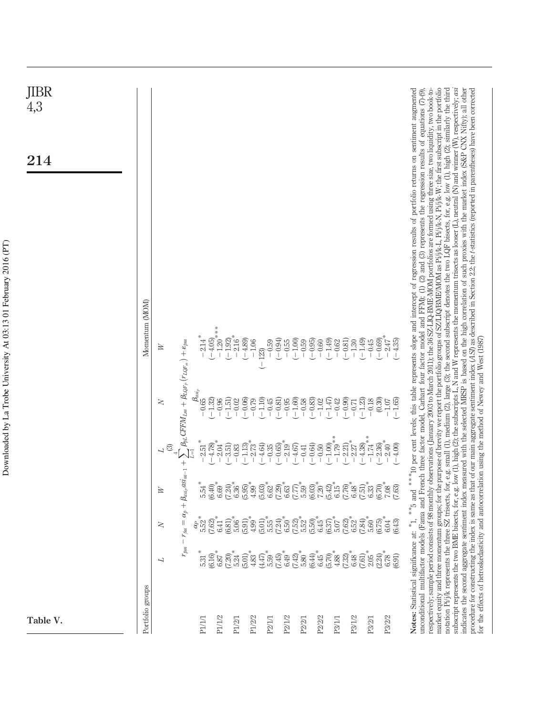| <b>IIBR</b><br>4,3 |                  |                                                  |                                                                                                                                                  |                                                  |                             |                         |                             |                                               |                                                     |                                 |                                                         |                                              |                         |                   |                                   |                                             |                                                                                                                                                                                                                                                                                                                                                                                                                                                                                                                                                                                                                                                                                                                                                                                                                                                                                                                                                                                                                                                                                                                                                                                                                                                                                                                                                                                                                                                                                                                                                                                                |
|--------------------|------------------|--------------------------------------------------|--------------------------------------------------------------------------------------------------------------------------------------------------|--------------------------------------------------|-----------------------------|-------------------------|-----------------------------|-----------------------------------------------|-----------------------------------------------------|---------------------------------|---------------------------------------------------------|----------------------------------------------|-------------------------|-------------------|-----------------------------------|---------------------------------------------|------------------------------------------------------------------------------------------------------------------------------------------------------------------------------------------------------------------------------------------------------------------------------------------------------------------------------------------------------------------------------------------------------------------------------------------------------------------------------------------------------------------------------------------------------------------------------------------------------------------------------------------------------------------------------------------------------------------------------------------------------------------------------------------------------------------------------------------------------------------------------------------------------------------------------------------------------------------------------------------------------------------------------------------------------------------------------------------------------------------------------------------------------------------------------------------------------------------------------------------------------------------------------------------------------------------------------------------------------------------------------------------------------------------------------------------------------------------------------------------------------------------------------------------------------------------------------------------------|
| 214                |                  |                                                  |                                                                                                                                                  |                                                  |                             |                         |                             |                                               |                                                     |                                 |                                                         |                                              |                         |                   |                                   |                                             | market equity and three momentum groups; for the purpose of brevity we report the portfolio groups of SZ/LIQ/BME/MOM as Pi/j/k-L, Pi/j/k-W, The first subscript in the portfolio<br>ndicates the second aggregate sentiment index measured with the selected MRSP is based on the high correlation of such proxies with the market index (S&P CNX Nifty); all other<br>respectively; sample period consists of 98 monthly observations (January 2003 to March 2011); the 36 SZ-LIQ-BME-MOM portfolios are formed using three size, two liquidity, two book-to-<br>subscript represents the two BME bisects, for, e.g. low (1), high (2); the subscripts L, N and W represents the momentum trisects as looser (L), neutral (N) and winner (W), respectively, as<br>procedure for constructing the index is same as that of our main aggregate sentiment index (ASI) as described in Section 2.2 the t-statistics (reported in parentheses) have been corrected<br>Notes: Statistical significance at: $\hbar$ , $\hbar$ $\hbar$ $\hbar$ $\hbar$ $\hbar$ $\hbar$ $\hbar$ $\hbar$ and $\hbar$ is the the represents slope and intercept of regression results of portfolio returns on sentiment augmented<br>notation Fi/jk represents the three SZ trisects, for, e.g. small (1), medium (2), large (3); the second subscript denotes the two LQF bisects, for, e.g. low (1), high (2); similarly the third<br>unconditional multifactor models (Fama and French three factor mode), Carbart four factor model and FRM); (1) (2) and (3) represents the regression results of equations (7)-(9) |
|                    | Momentum (MOM)   | $\cancel{\equiv}$                                |                                                                                                                                                  | $-2.14$ <sup>*</sup>                             | $\frac{(-4.05)}{-1.20}$ *** | $\frac{(-1.92)}{-2.16}$ | $(-4.89)$<br>$-1.06$        | $-0.59$<br>$(-123)$                           | $(+0.94)$<br>$-0.55$                                | $(-1.00)$                       | $(-0.95)$<br>$-0.59$                                    | $(-1.49)$<br>$-0.60$                         | $(-0.81)$<br>$-0.62$    | $-1.30$           | $(-1.49)$<br>$-0.45$              | $-2.47$ $^{\ast}$<br>$(-0.69)$<br>$(-4.35)$ |                                                                                                                                                                                                                                                                                                                                                                                                                                                                                                                                                                                                                                                                                                                                                                                                                                                                                                                                                                                                                                                                                                                                                                                                                                                                                                                                                                                                                                                                                                                                                                                                |
|                    |                  | $\geq$                                           | $\sum \beta_{\textit{PL}} \textit{CFFM}_{\textit{Lm}} + \beta_{\textit{LQF}_P}\left(\textit{r}_{\textit{LQF}_m}\right) + \epsilon_{\textit{pm}}$ | $-\underset{1}{\beta_{\alpha s}}_{\beta}$ – 0.65 | $(-1.32)$<br>$-0.96$        | $(-1.51)$<br>$-0.02$    | $(-0.06)$<br>$-0.79$        | $(-1.10)$<br>$-0.45$                          | $(-0.81)$<br>$-0.95$                                | $(-1.60)$                       | $(-0.83)$<br>$-0.58$                                    | $(-1.47)$<br>$-1.02$                         | $(-0.90)$<br>$-0.42$    | $-0.71$           | $(-1.23)$<br>$-0.18$              | (0.30)<br>$(-1.65)$<br>$-1.07$              | for the effects of hetroskedasticity and autocorrelation using the method of Newey and West (1987)                                                                                                                                                                                                                                                                                                                                                                                                                                                                                                                                                                                                                                                                                                                                                                                                                                                                                                                                                                                                                                                                                                                                                                                                                                                                                                                                                                                                                                                                                             |
|                    |                  | $\overline{\mathcal{O}}_{\scriptscriptstyle{+}}$ |                                                                                                                                                  | $2.51$ *                                         | $(-4.78)$<br>$-2.04$        | $(-3.51)$<br>$-0.83$    | $(-1.13)$<br>$-2.73$        | $(-4.64)$<br>$-0.35$                          | $(-0.65)$<br>$2.19$ <sup>-1</sup><br>$\overline{1}$ | $(-4.67)$                       | $(-0.64)$<br>$-0.41$                                    | $(-1.00)$<br>$-0.50$                         | $-1.79***$<br>$(-2.21)$ | 2.27              | $(-4.38)$<br>$-1.74$ <sup>2</sup> | $(-2.36)$<br>$(-4.00)$<br>2.40              |                                                                                                                                                                                                                                                                                                                                                                                                                                                                                                                                                                                                                                                                                                                                                                                                                                                                                                                                                                                                                                                                                                                                                                                                                                                                                                                                                                                                                                                                                                                                                                                                |
|                    |                  | Þ                                                | $-r_{fm} = \alpha_p + \beta_{asip} a s_{tm-1} +$                                                                                                 | 5.54*                                            | (6.40)<br>$6.69^{\degree}$  | $(7.24)$<br>6.36        | (5.95)<br>4.99 <sup>1</sup> | $\begin{array}{c} (5.03) \\ 6.62 \end{array}$ | $(7.29)$<br>6.63*                                   | (7.77)                          | $(6.03)$<br>7.20*<br>5.59                               | $\binom{5.42}{6.15}$ *                       |                         | $(7.76)$<br>6.48* | $6.33^{*}$<br>(7.51)              | (6.70)<br>(7.63)<br>$7.08^{\degree}$        |                                                                                                                                                                                                                                                                                                                                                                                                                                                                                                                                                                                                                                                                                                                                                                                                                                                                                                                                                                                                                                                                                                                                                                                                                                                                                                                                                                                                                                                                                                                                                                                                |
|                    |                  | $\geq$                                           |                                                                                                                                                  | $\frac{\alpha_P}{5.52} *$                        | $6.41$ $^{\ast}$<br>(7.62)  | $5.06^{*}$<br>(6.81)    | (5.91)                      | ្តុំ<br>មិន អ្នក<br>មិន អ្នក                  | $(7.24)$<br>6.50 <sup>*</sup>                       | $(7.52)$<br>$5.52$ <sup>*</sup> | $(5.50)$<br>$6.45$ *                                    | $\begin{array}{c} (6.37)\\ 5.07 \end{array}$ | (7.62)                  | 6.52 <sup>1</sup> | $5.60*$<br>(784)                  | (6.75)<br>(6.43)<br>6.04                    |                                                                                                                                                                                                                                                                                                                                                                                                                                                                                                                                                                                                                                                                                                                                                                                                                                                                                                                                                                                                                                                                                                                                                                                                                                                                                                                                                                                                                                                                                                                                                                                                |
|                    |                  | L                                                | $r_{\ensuremath{pm}}$                                                                                                                            | $5.31*$                                          | ₩<br>(6.16)<br>6.87         | $(7.20)$<br>5.24*       | ₩<br>(5.01)<br>4.83         | $(4.47)$<br>5.59*                             | *<br>$(7.45)$<br>6.49                               | ÷<br>(7.42)                     | ₩<br>$6.44$<br>$6.45$ <sup>*</sup><br>$\overline{5.80}$ | (5.70)                                       | $4.88^{*}$<br>(7.32)    | *<br>6.48         | ₩<br>(7.61)<br>2.05               | ₩<br>(2.24)<br>6.78<br>(6.91)               |                                                                                                                                                                                                                                                                                                                                                                                                                                                                                                                                                                                                                                                                                                                                                                                                                                                                                                                                                                                                                                                                                                                                                                                                                                                                                                                                                                                                                                                                                                                                                                                                |
| Table V.           | Portfolio groups |                                                  |                                                                                                                                                  | <b>PI/I/I</b>                                    | P1/1/2                      | P1/2/1                  | P1/2/2                      | P2/1/1                                        | P2/1/2                                              |                                 | P2/2/1                                                  | P2/2/2                                       | P3/1/1                  | P3/1/2            | P3/2/1                            | P3/2/2                                      |                                                                                                                                                                                                                                                                                                                                                                                                                                                                                                                                                                                                                                                                                                                                                                                                                                                                                                                                                                                                                                                                                                                                                                                                                                                                                                                                                                                                                                                                                                                                                                                                |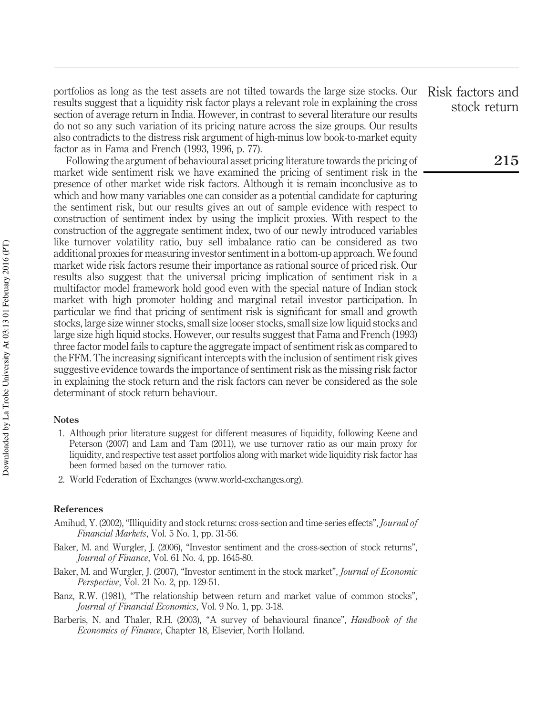portfolios as long as the test assets are not tilted towards the large size stocks. Our results suggest that a liquidity risk factor plays a relevant role in explaining the cross section of average return in India. However, in contrast to several literature our results do not so any such variation of its pricing nature across the size groups. Our results also contradicts to the distress risk argument of high-minus low book-to-market equity factor as in Fama and French (1993, 1996, p. 77).

Following the argument of behavioural asset pricing literature towards the pricing of market wide sentiment risk we have examined the pricing of sentiment risk in the presence of other market wide risk factors. Although it is remain inconclusive as to which and how many variables one can consider as a potential candidate for capturing the sentiment risk, but our results gives an out of sample evidence with respect to construction of sentiment index by using the implicit proxies. With respect to the construction of the aggregate sentiment index, two of our newly introduced variables like turnover volatility ratio, buy sell imbalance ratio can be considered as two additional proxies for measuring investor sentiment in a bottom-up approach. We found market wide risk factors resume their importance as rational source of priced risk. Our results also suggest that the universal pricing implication of sentiment risk in a multifactor model framework hold good even with the special nature of Indian stock market with high promoter holding and marginal retail investor participation. In particular we find that pricing of sentiment risk is significant for small and growth stocks, large size winner stocks, small size looser stocks, small size low liquid stocks and large size high liquid stocks. However, our results suggest that Fama and French (1993) three factor model fails to capture the aggregate impact of sentiment risk as compared to the FFM. The increasing significant intercepts with the inclusion of sentiment risk gives suggestive evidence towards the importance of sentiment risk as the missing risk factor in explaining the stock return and the risk factors can never be considered as the sole determinant of stock return behaviour.

#### Notes

- 1. Although prior literature suggest for different measures of liquidity, following Keene and Peterson (2007) and Lam and Tam (2011), we use turnover ratio as our main proxy for liquidity, and respective test asset portfolios along with market wide liquidity risk factor has been formed based on the turnover ratio.
- 2. World Federation of Exchanges (www.world-exchanges.org).

#### References

- Amihud, Y. (2002), "Illiquidity and stock returns: cross-section and time-series effects", *Journal of Financial Markets*, Vol. 5 No. 1, pp. 31-56.
- Baker, M. and Wurgler, J. (2006), "Investor sentiment and the cross-section of stock returns", *Journal of Finance*, Vol. 61 No. 4, pp. 1645-80.
- Baker, M. and Wurgler, J. (2007), "Investor sentiment in the stock market", *Journal of Economic Perspective*, Vol. 21 No. 2, pp. 129-51.
- Banz, R.W. (1981), "The relationship between return and market value of common stocks", *Journal of Financial Economics*, Vol. 9 No. 1, pp. 3-18.
- Barberis, N. and Thaler, R.H. (2003), "A survey of behavioural finance", *Handbook of the Economics of Finance*, Chapter 18, Elsevier, North Holland.

Risk factors and stock return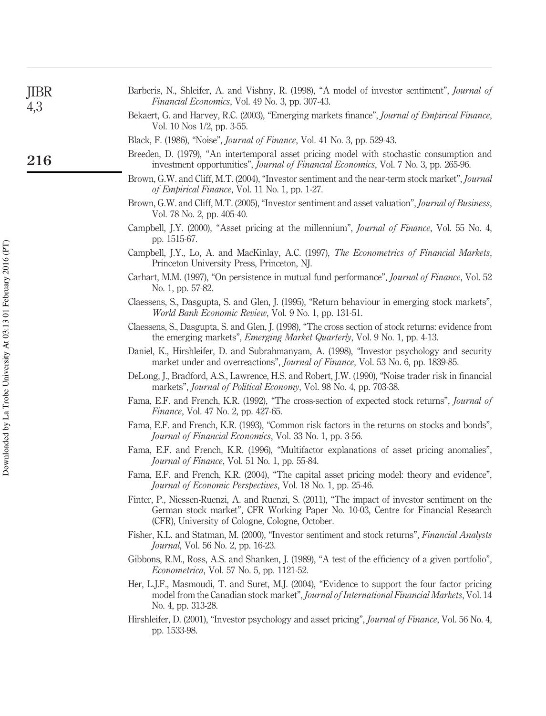| JIBR<br>4,3 | Barberis, N., Shleifer, A. and Vishny, R. (1998), "A model of investor sentiment", Journal of<br>Financial Economics, Vol. 49 No. 3, pp. 307-43.                                                                                      |
|-------------|---------------------------------------------------------------------------------------------------------------------------------------------------------------------------------------------------------------------------------------|
|             | Bekaert, G. and Harvey, R.C. (2003), "Emerging markets finance", Journal of Empirical Finance,<br>Vol. 10 Nos 1/2, pp. 3-55.                                                                                                          |
|             | Black, F. (1986), "Noise", <i>Journal of Finance</i> , Vol. 41 No. 3, pp. 529-43.                                                                                                                                                     |
| 216         | Breeden, D. (1979), "An intertemporal asset pricing model with stochastic consumption and<br>investment opportunities", Journal of Financial Economics, Vol. 7 No. 3, pp. 265-96.                                                     |
|             | Brown, G.W. and Cliff, M.T. (2004), "Investor sentiment and the near-term stock market", Journal<br>of Empirical Finance, Vol. 11 No. 1, pp. 1-27.                                                                                    |
|             | Brown, G.W. and Cliff, M.T. (2005), "Investor sentiment and asset valuation", Journal of Business,<br>Vol. 78 No. 2, pp. 405-40.                                                                                                      |
|             | Campbell, J.Y. (2000), "Asset pricing at the millennium", <i>Journal of Finance</i> , Vol. 55 No. 4,<br>pp. 1515-67.                                                                                                                  |
|             | Campbell, J.Y., Lo, A. and MacKinlay, A.C. (1997), The Econometrics of Financial Markets,<br>Princeton University Press, Princeton, NJ.                                                                                               |
|             | Carhart, M.M. (1997), "On persistence in mutual fund performance", Journal of Finance, Vol. 52<br>No. 1, pp. 57-82.                                                                                                                   |
|             | Claessens, S., Dasgupta, S. and Glen, J. (1995), "Return behaviour in emerging stock markets",<br>World Bank Economic Review, Vol. 9 No. 1, pp. 131-51.                                                                               |
|             | Claessens, S., Dasgupta, S. and Glen, J. (1998), "The cross section of stock returns: evidence from<br>the emerging markets", <i>Emerging Market Quarterly</i> , Vol. 9 No. 1, pp. 4-13.                                              |
|             | Daniel, K., Hirshleifer, D. and Subrahmanyam, A. (1998), "Investor psychology and security<br>market under and overreactions", <i>Journal of Finance</i> , Vol. 53 No. 6, pp. 1839-85.                                                |
|             | DeLong, J., Bradford, A.S., Lawrence, H.S. and Robert, J.W. (1990), "Noise trader risk in financial<br>markets", Journal of Political Economy, Vol. 98 No. 4, pp. 703-38.                                                             |
|             | Fama, E.F. and French, K.R. (1992), "The cross-section of expected stock returns", Journal of<br><i>Finance</i> , Vol. 47 No. 2, pp. 427-65.                                                                                          |
|             | Fama, E.F. and French, K.R. (1993), "Common risk factors in the returns on stocks and bonds",<br>Journal of Financial Economics, Vol. 33 No. 1, pp. 3-56.                                                                             |
|             | Fama, E.F. and French, K.R. (1996), "Multifactor explanations of asset pricing anomalies",<br><i>Journal of Finance</i> , Vol. 51 No. 1, pp. 55-84.                                                                                   |
|             | Fama, E.F. and French, K.R. (2004), "The capital asset pricing model: theory and evidence",<br><i>Journal of Economic Perspectives, Vol. 18 No. 1, pp. 25-46.</i>                                                                     |
|             | Finter, P., Niessen-Ruenzi, A. and Ruenzi, S. (2011), "The impact of investor sentiment on the<br>German stock market", CFR Working Paper No. 10-03, Centre for Financial Research<br>(CFR), University of Cologne, Cologne, October. |
|             | Fisher, K.L. and Statman, M. (2000), "Investor sentiment and stock returns", Financial Analysts<br><i>Journal</i> , Vol. 56 No. 2, pp. 16-23.                                                                                         |
|             | Gibbons, R.M., Ross, A.S. and Shanken, J. (1989), "A test of the efficiency of a given portfolio",<br><i>Econometrica</i> , Vol. 57 No. 5, pp. 1121-52.                                                                               |
|             | Her, L.J.F., Masmoudi, T. and Suret, M.J. (2004), "Evidence to support the four factor pricing<br>model from the Canadian stock market", Journal of International Financial Markets, Vol. 14<br>No. 4, pp. 313-28.                    |
|             | Hirshleifer, D. (2001), "Investor psychology and asset pricing", <i>Journal of Finance</i> , Vol. 56 No. 4,<br>pp. 1533-98.                                                                                                           |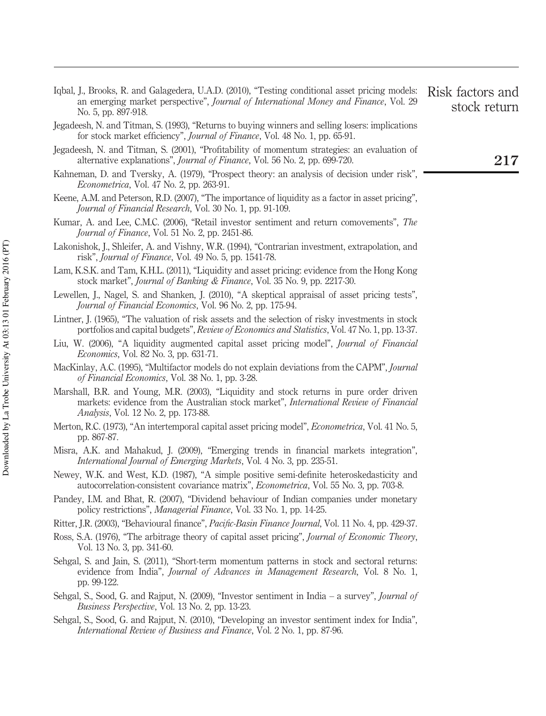- Iqbal, J., Brooks, R. and Galagedera, U.A.D. (2010), "Testing conditional asset pricing models: an emerging market perspective", *Journal of International Money and Finance*, Vol. 29 No. 5, pp. 897-918. Jegadeesh, N. and Titman, S. (1993), "Returns to buying winners and selling losers: implications for stock market efficiency", *Journal of Finance*, Vol. 48 No. 1, pp. 65-91.
	- Jegadeesh, N. and Titman, S. (2001), "Profitability of momentum strategies: an evaluation of alternative explanations", *Journal of Finance*, Vol. 56 No. 2, pp. 699-720.
	- Kahneman, D. and Tversky, A. (1979), "Prospect theory: an analysis of decision under risk", *Econometrica*, Vol. 47 No. 2, pp. 263-91.
	- Keene, A.M. and Peterson, R.D. (2007), "The importance of liquidity as a factor in asset pricing", *Journal of Financial Research*, Vol. 30 No. 1, pp. 91-109.
	- Kumar, A. and Lee, C.M.C. (2006), "Retail investor sentiment and return comovements", *The Journal of Finance*, Vol. 51 No. 2, pp. 2451-86.
	- Lakonishok, J., Shleifer, A. and Vishny, W.R. (1994), "Contrarian investment, extrapolation, and risk", *Journal of Finance*, Vol. 49 No. 5, pp. 1541-78.
	- Lam, K.S.K. and Tam, K.H.L. (2011), "Liquidity and asset pricing: evidence from the Hong Kong stock market", *Journal of Banking & Finance*, Vol. 35 No. 9, pp. 2217-30.
	- Lewellen, J., Nagel, S. and Shanken, J. (2010), "A skeptical appraisal of asset pricing tests", *Journal of Financial Economics*, Vol. 96 No. 2, pp. 175-94.
	- Lintner, J. (1965), "The valuation of risk assets and the selection of risky investments in stock portfolios and capital budgets", *Review of Economics and Statistics*, Vol. 47 No. 1, pp. 13-37.
	- Liu, W. (2006), "A liquidity augmented capital asset pricing model", *Journal of Financial Economics*, Vol. 82 No. 3, pp. 631-71.
	- MacKinlay, A.C. (1995), "Multifactor models do not explain deviations from the CAPM", *Journal of Financial Economics*, Vol. 38 No. 1, pp. 3-28.
	- Marshall, B.R. and Young, M.R. (2003), "Liquidity and stock returns in pure order driven markets: evidence from the Australian stock market", *International Review of Financial Analysis*, Vol. 12 No. 2, pp. 173-88.
	- Merton, R.C. (1973), "An intertemporal capital asset pricing model", *Econometrica*, Vol. 41 No. 5, pp. 867-87.
	- Misra, A.K. and Mahakud, J. (2009), "Emerging trends in financial markets integration", *International Journal of Emerging Markets*, Vol. 4 No. 3, pp. 235-51.
	- Newey, W.K. and West, K.D. (1987), "A simple positive semi-definite heteroskedasticity and autocorrelation-consistent covariance matrix", *Econometrica*, Vol. 55 No. 3, pp. 703-8.
	- Pandey, I.M. and Bhat, R. (2007), "Dividend behaviour of Indian companies under monetary policy restrictions", *Managerial Finance*, Vol. 33 No. 1, pp. 14-25.
	- Ritter, J.R. (2003), "Behavioural finance", *Pacific-Basin Finance Journal*, Vol. 11 No. 4, pp. 429-37.
	- Ross, S.A. (1976), "The arbitrage theory of capital asset pricing", *Journal of Economic Theory*, Vol. 13 No. 3, pp. 341-60.
	- Sehgal, S. and Jain, S. (2011), "Short-term momentum patterns in stock and sectoral returns: evidence from India", *Journal of Advances in Management Research*, Vol. 8 No. 1, pp. 99-122.
	- Sehgal, S., Sood, G. and Rajput, N. (2009), "Investor sentiment in India a survey", *Journal of Business Perspective*, Vol. 13 No. 2, pp. 13-23.
	- Sehgal, S., Sood, G. and Rajput, N. (2010), "Developing an investor sentiment index for India", *International Review of Business and Finance*, Vol. 2 No. 1, pp. 87-96.

Risk factors and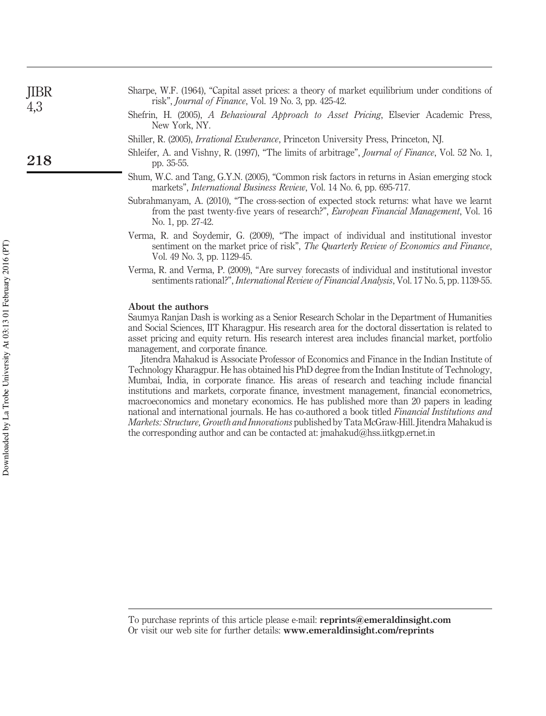| JIBR | Sharpe, W.F. (1964), "Capital asset prices: a theory of market equilibrium under conditions of<br>risk", <i>Journal of Finance</i> , Vol. 19 No. 3, pp. 425-42. |
|------|-----------------------------------------------------------------------------------------------------------------------------------------------------------------|
| 4,3  | Shefrin, H. (2005), A Behavioural Approach to Asset Pricing, Elsevier Academic Press,<br>New York, NY.                                                          |
|      | Shiller, R. (2005), <i>Irrational Exuberance</i> , Princeton University Press, Princeton, NJ.                                                                   |
| 218  | Shleifer, A. and Vishny, R. (1997), "The limits of arbitrage", <i>Journal of Finance</i> , Vol. 52 No. 1,<br>pp. 35-55.                                         |

- Shum, W.C. and Tang, G.Y.N. (2005), "Common risk factors in returns in Asian emerging stock markets", *International Business Review*, Vol. 14 No. 6, pp. 695-717.
- Subrahmanyam, A. (2010), "The cross-section of expected stock returns: what have we learnt from the past twenty-five years of research?", *European Financial Management*, Vol. 16 No. 1, pp. 27-42.
- Verma, R. and Soydemir, G. (2009), "The impact of individual and institutional investor sentiment on the market price of risk", *The Quarterly Review of Economics and Finance*, Vol. 49 No. 3, pp. 1129-45.
- Verma, R. and Verma, P. (2009), "Are survey forecasts of individual and institutional investor sentiments rational?", *International Review of Financial Analysis*, Vol. 17 No. 5, pp. 1139-55.

#### About the authors

Saumya Ranjan Dash is working as a Senior Research Scholar in the Department of Humanities and Social Sciences, IIT Kharagpur. His research area for the doctoral dissertation is related to asset pricing and equity return. His research interest area includes financial market, portfolio management, and corporate finance.

Jitendra Mahakud is Associate Professor of Economics and Finance in the Indian Institute of Technology Kharagpur. He has obtained his PhD degree from the Indian Institute of Technology, Mumbai, India, in corporate finance. His areas of research and teaching include financial institutions and markets, corporate finance, investment management, financial econometrics, macroeconomics and monetary economics. He has published more than 20 papers in leading national and international journals. He has co-authored a book titled *Financial Institutions and Markets: Structure, Growth and Innovations* published by Tata McGraw-Hill. Jitendra Mahakud is the corresponding author and can be contacted at: jmahakud@hss.iitkgp.ernet.in

To purchase reprints of this article please e-mail: reprints@emeraldinsight.com Or visit our web site for further details: www.emeraldinsight.com/reprints